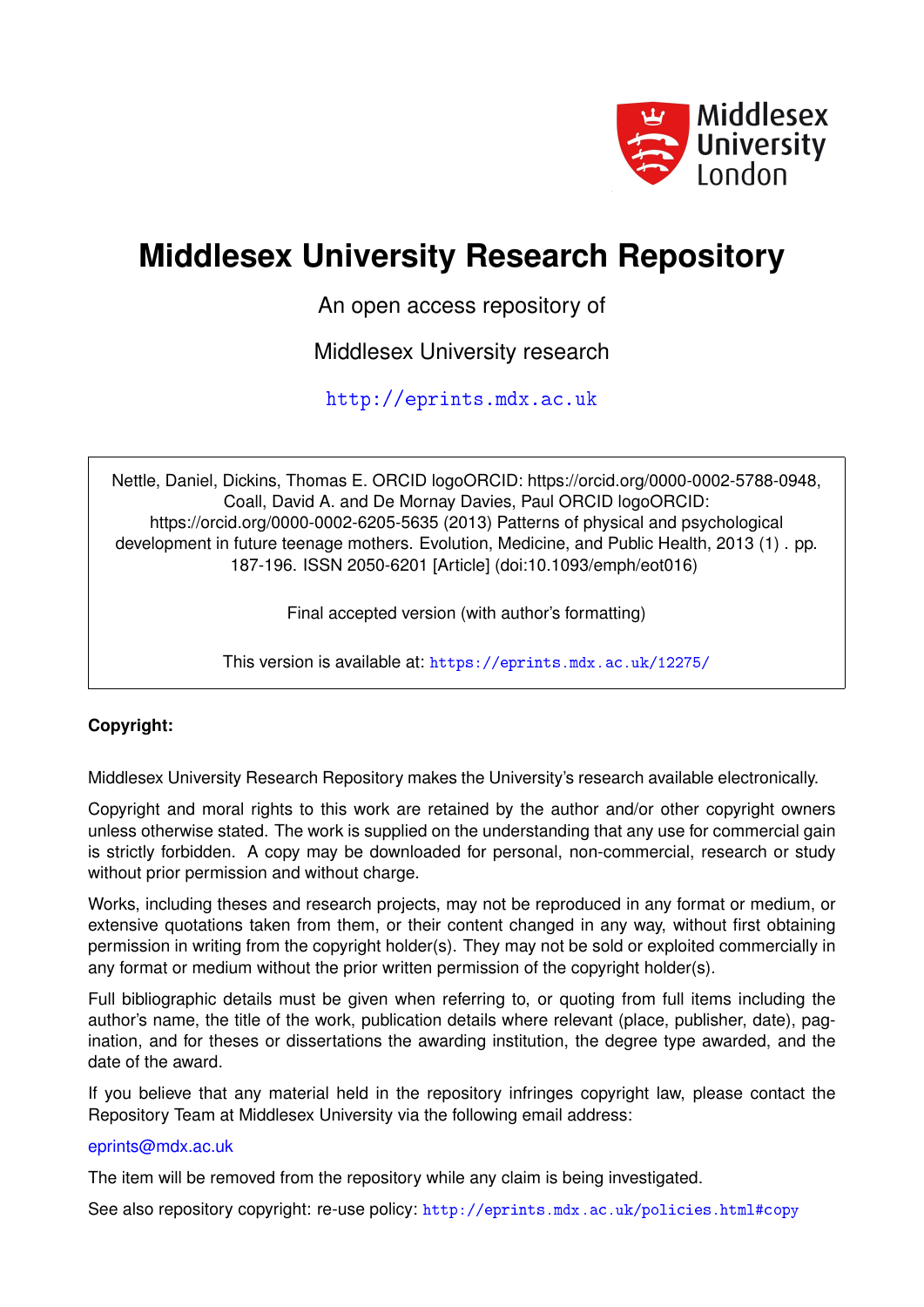

# **Middlesex University Research Repository**

An open access repository of

Middlesex University research

<http://eprints.mdx.ac.uk>

Nettle, Daniel, Dickins, Thomas E. ORCID logoORCID: https://orcid.org/0000-0002-5788-0948, Coall, David A. and De Mornay Davies, Paul ORCID logoORCID: https://orcid.org/0000-0002-6205-5635 (2013) Patterns of physical and psychological development in future teenage mothers. Evolution, Medicine, and Public Health, 2013 (1) . pp. 187-196. ISSN 2050-6201 [Article] (doi:10.1093/emph/eot016)

Final accepted version (with author's formatting)

This version is available at: <https://eprints.mdx.ac.uk/12275/>

## **Copyright:**

Middlesex University Research Repository makes the University's research available electronically.

Copyright and moral rights to this work are retained by the author and/or other copyright owners unless otherwise stated. The work is supplied on the understanding that any use for commercial gain is strictly forbidden. A copy may be downloaded for personal, non-commercial, research or study without prior permission and without charge.

Works, including theses and research projects, may not be reproduced in any format or medium, or extensive quotations taken from them, or their content changed in any way, without first obtaining permission in writing from the copyright holder(s). They may not be sold or exploited commercially in any format or medium without the prior written permission of the copyright holder(s).

Full bibliographic details must be given when referring to, or quoting from full items including the author's name, the title of the work, publication details where relevant (place, publisher, date), pagination, and for theses or dissertations the awarding institution, the degree type awarded, and the date of the award.

If you believe that any material held in the repository infringes copyright law, please contact the Repository Team at Middlesex University via the following email address:

### [eprints@mdx.ac.uk](mailto:eprints@mdx.ac.uk)

The item will be removed from the repository while any claim is being investigated.

See also repository copyright: re-use policy: <http://eprints.mdx.ac.uk/policies.html#copy>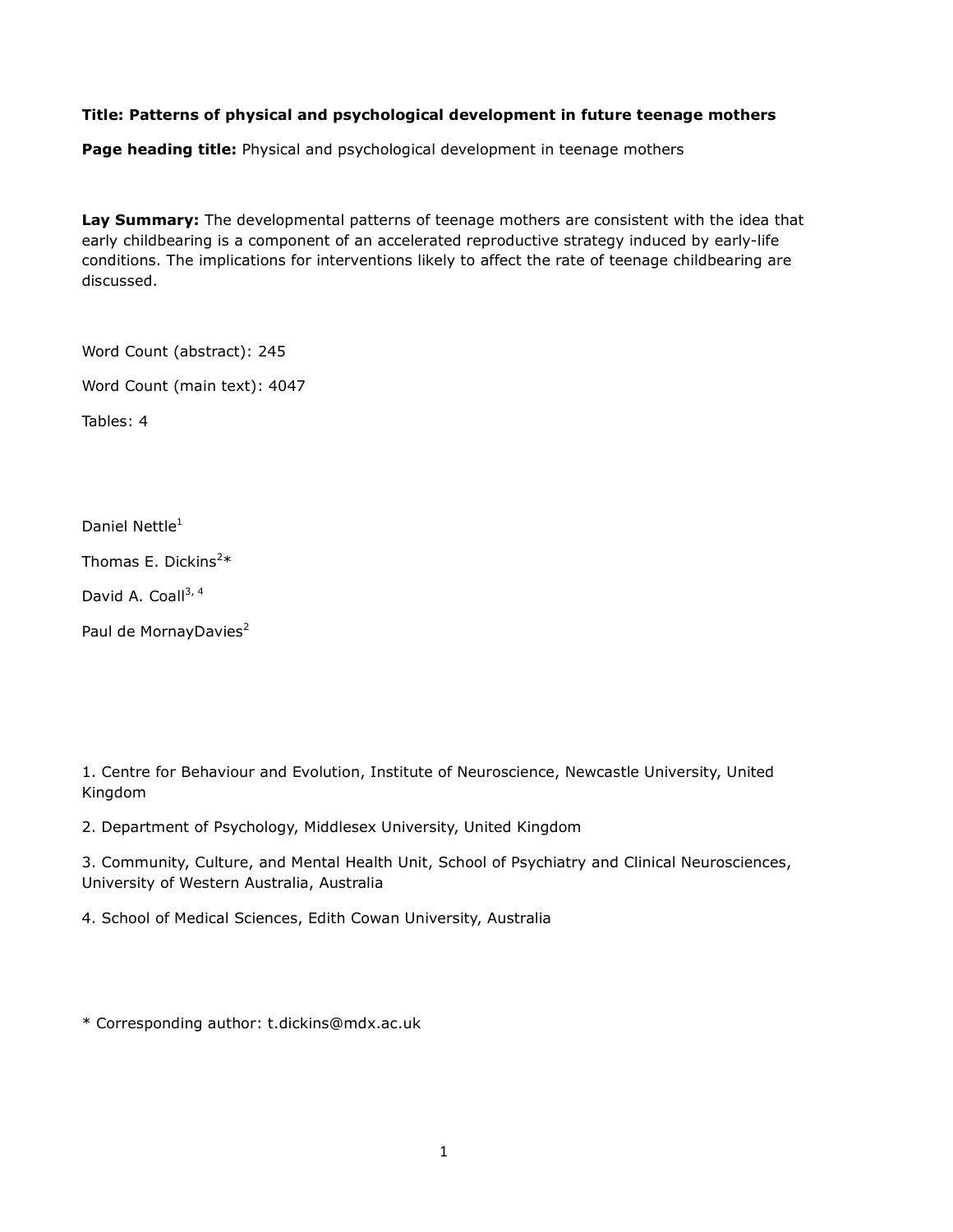#### Title: Patterns of physical and psychological development in future teenage mothers

Page heading title: Physical and psychological development in teenage mothers

Lay Summary: The developmental patterns of teenage mothers are consistent with the idea that early childbearing is a component of an accelerated reproductive strategy induced by early-life conditions. The implications for interventions likely to affect the rate of teenage childbearing are discussed.

Word Count (abstract): 245

Word Count (main text): 4047

Tables: 4

Daniel Nettle<sup>1</sup>

Thomas E. Dickins<sup>2\*</sup>

David A. Coall<sup>3, 4</sup>

Paul de MornayDavies<sup>2</sup>

1. Centre for Behaviour and Evolution, Institute of Neuroscience, Newcastle University, United Kingdom

2. Department of Psychology, Middlesex University, United Kingdom

3. Community, Culture, and Mental Health Unit, School of Psychiatry and Clinical Neurosciences, University of Western Australia, Australia

4. School of Medical Sciences, Edith Cowan University, Australia

\* Corresponding author: t.dickins@mdx.ac.uk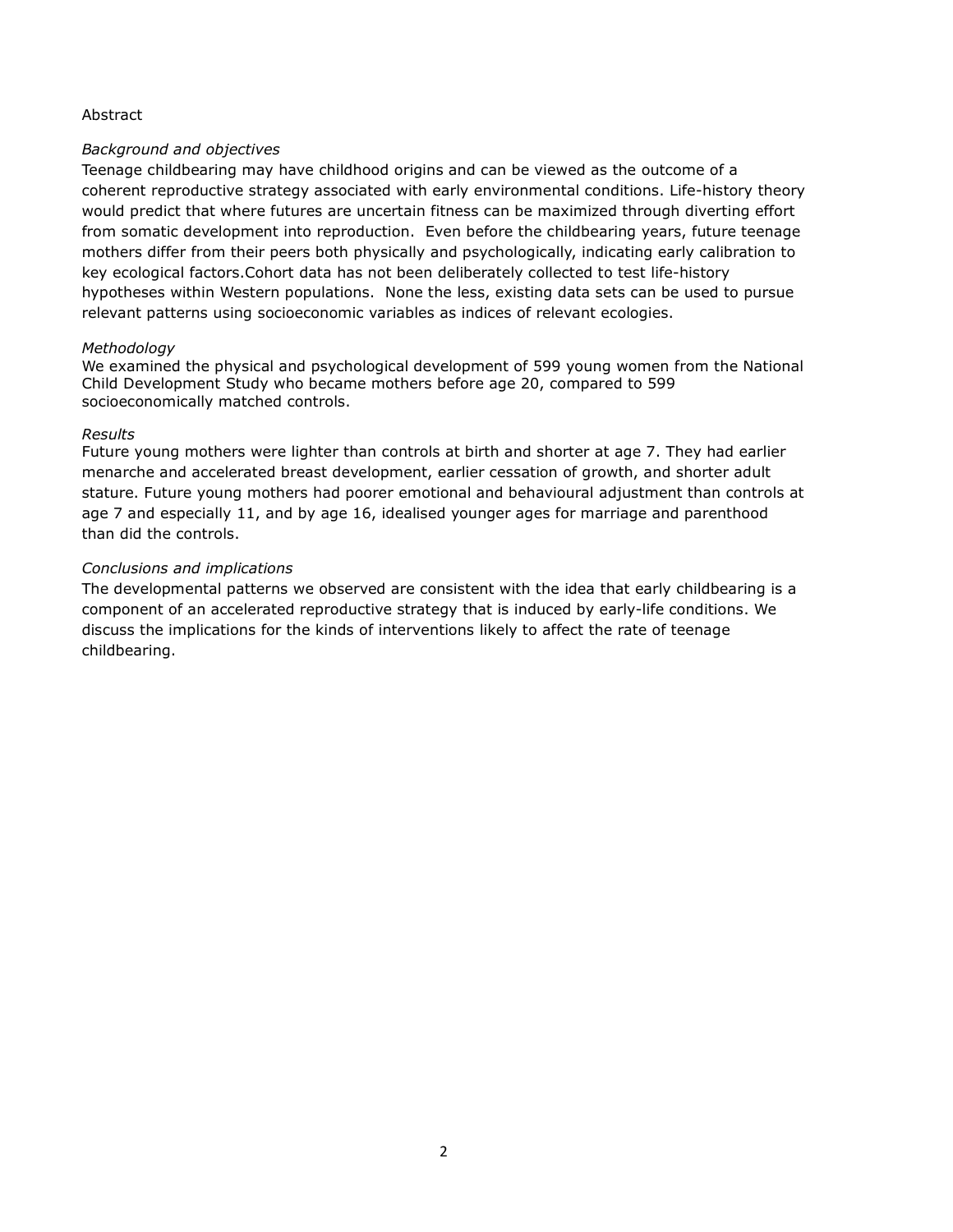#### Abstract

#### Background and objectives

Teenage childbearing may have childhood origins and can be viewed as the outcome of a coherent reproductive strategy associated with early environmental conditions. Life-history theory would predict that where futures are uncertain fitness can be maximized through diverting effort from somatic development into reproduction. Even before the childbearing years, future teenage mothers differ from their peers both physically and psychologically, indicating early calibration to key ecological factors.Cohort data has not been deliberately collected to test life-history hypotheses within Western populations. None the less, existing data sets can be used to pursue relevant patterns using socioeconomic variables as indices of relevant ecologies.

#### Methodology

We examined the physical and psychological development of 599 young women from the National Child Development Study who became mothers before age 20, compared to 599 socioeconomically matched controls.

#### Results

Future young mothers were lighter than controls at birth and shorter at age 7. They had earlier menarche and accelerated breast development, earlier cessation of growth, and shorter adult stature. Future young mothers had poorer emotional and behavioural adjustment than controls at age 7 and especially 11, and by age 16, idealised younger ages for marriage and parenthood than did the controls.

#### Conclusions and implications

The developmental patterns we observed are consistent with the idea that early childbearing is a component of an accelerated reproductive strategy that is induced by early-life conditions. We discuss the implications for the kinds of interventions likely to affect the rate of teenage childbearing.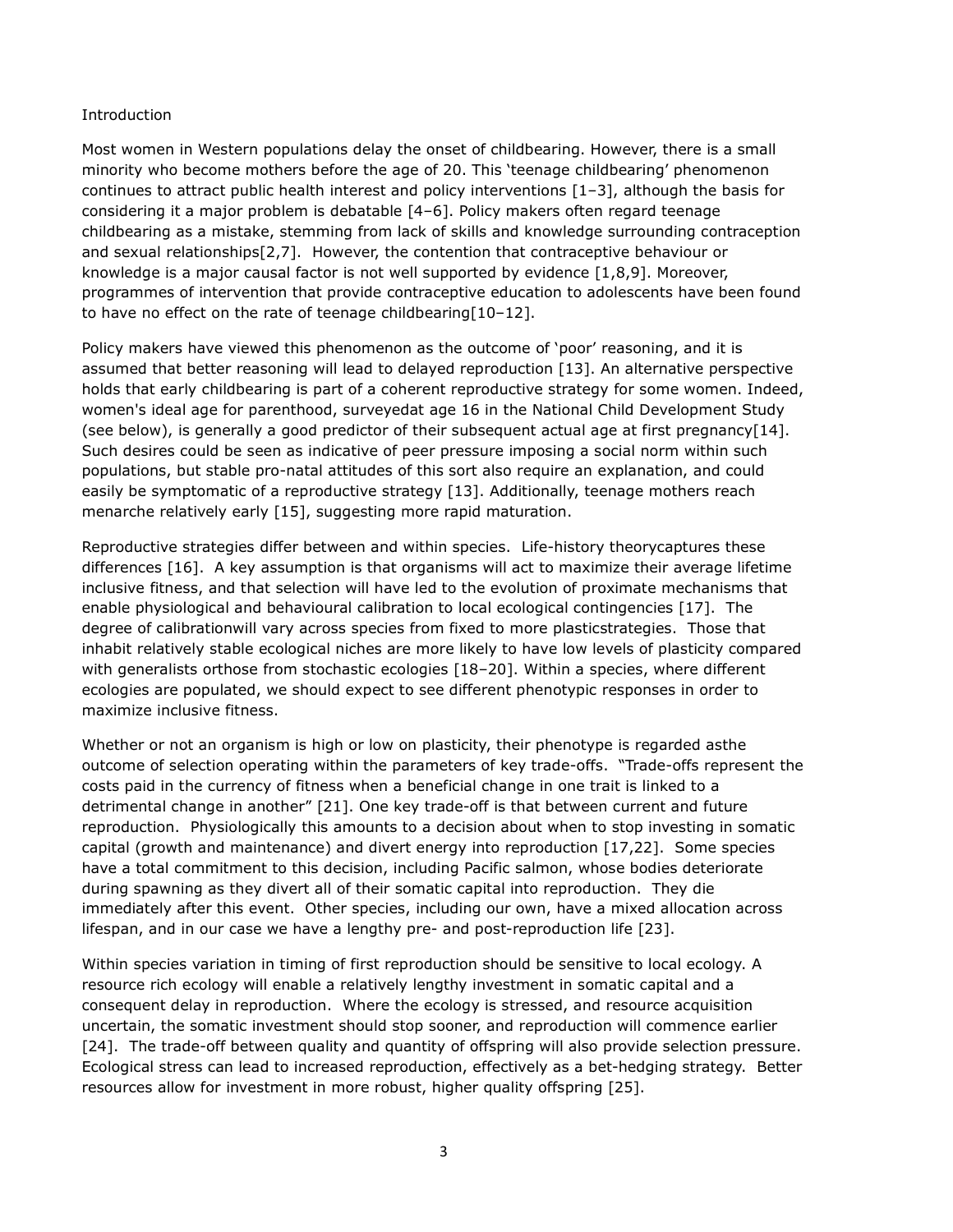#### Introduction

Most women in Western populations delay the onset of childbearing. However, there is a small minority who become mothers before the age of 20. This 'teenage childbearing' phenomenon continues to attract public health interest and policy interventions [1–3], although the basis for considering it a major problem is debatable [4–6]. Policy makers often regard teenage childbearing as a mistake, stemming from lack of skills and knowledge surrounding contraception and sexual relationships[2,7]. However, the contention that contraceptive behaviour or knowledge is a major causal factor is not well supported by evidence [1,8,9]. Moreover, programmes of intervention that provide contraceptive education to adolescents have been found to have no effect on the rate of teenage childbearing[10–12].

Policy makers have viewed this phenomenon as the outcome of 'poor' reasoning, and it is assumed that better reasoning will lead to delayed reproduction [13]. An alternative perspective holds that early childbearing is part of a coherent reproductive strategy for some women. Indeed, women's ideal age for parenthood, surveyedat age 16 in the National Child Development Study (see below), is generally a good predictor of their subsequent actual age at first pregnancy [14]. Such desires could be seen as indicative of peer pressure imposing a social norm within such populations, but stable pro-natal attitudes of this sort also require an explanation, and could easily be symptomatic of a reproductive strategy [13]. Additionally, teenage mothers reach menarche relatively early [15], suggesting more rapid maturation.

Reproductive strategies differ between and within species. Life-history theorycaptures these differences [16]. A key assumption is that organisms will act to maximize their average lifetime inclusive fitness, and that selection will have led to the evolution of proximate mechanisms that enable physiological and behavioural calibration to local ecological contingencies [17]. The degree of calibrationwill vary across species from fixed to more plasticstrategies. Those that inhabit relatively stable ecological niches are more likely to have low levels of plasticity compared with generalists orthose from stochastic ecologies [18–20]. Within a species, where different ecologies are populated, we should expect to see different phenotypic responses in order to maximize inclusive fitness.

Whether or not an organism is high or low on plasticity, their phenotype is regarded asthe outcome of selection operating within the parameters of key trade-offs. "Trade-offs represent the costs paid in the currency of fitness when a beneficial change in one trait is linked to a detrimental change in another" [21]. One key trade-off is that between current and future reproduction. Physiologically this amounts to a decision about when to stop investing in somatic capital (growth and maintenance) and divert energy into reproduction [17,22]. Some species have a total commitment to this decision, including Pacific salmon, whose bodies deteriorate during spawning as they divert all of their somatic capital into reproduction. They die immediately after this event. Other species, including our own, have a mixed allocation across lifespan, and in our case we have a lengthy pre- and post-reproduction life [23].

Within species variation in timing of first reproduction should be sensitive to local ecology. A resource rich ecology will enable a relatively lengthy investment in somatic capital and a consequent delay in reproduction. Where the ecology is stressed, and resource acquisition uncertain, the somatic investment should stop sooner, and reproduction will commence earlier [24]. The trade-off between quality and quantity of offspring will also provide selection pressure. Ecological stress can lead to increased reproduction, effectively as a bet-hedging strategy. Better resources allow for investment in more robust, higher quality offspring [25].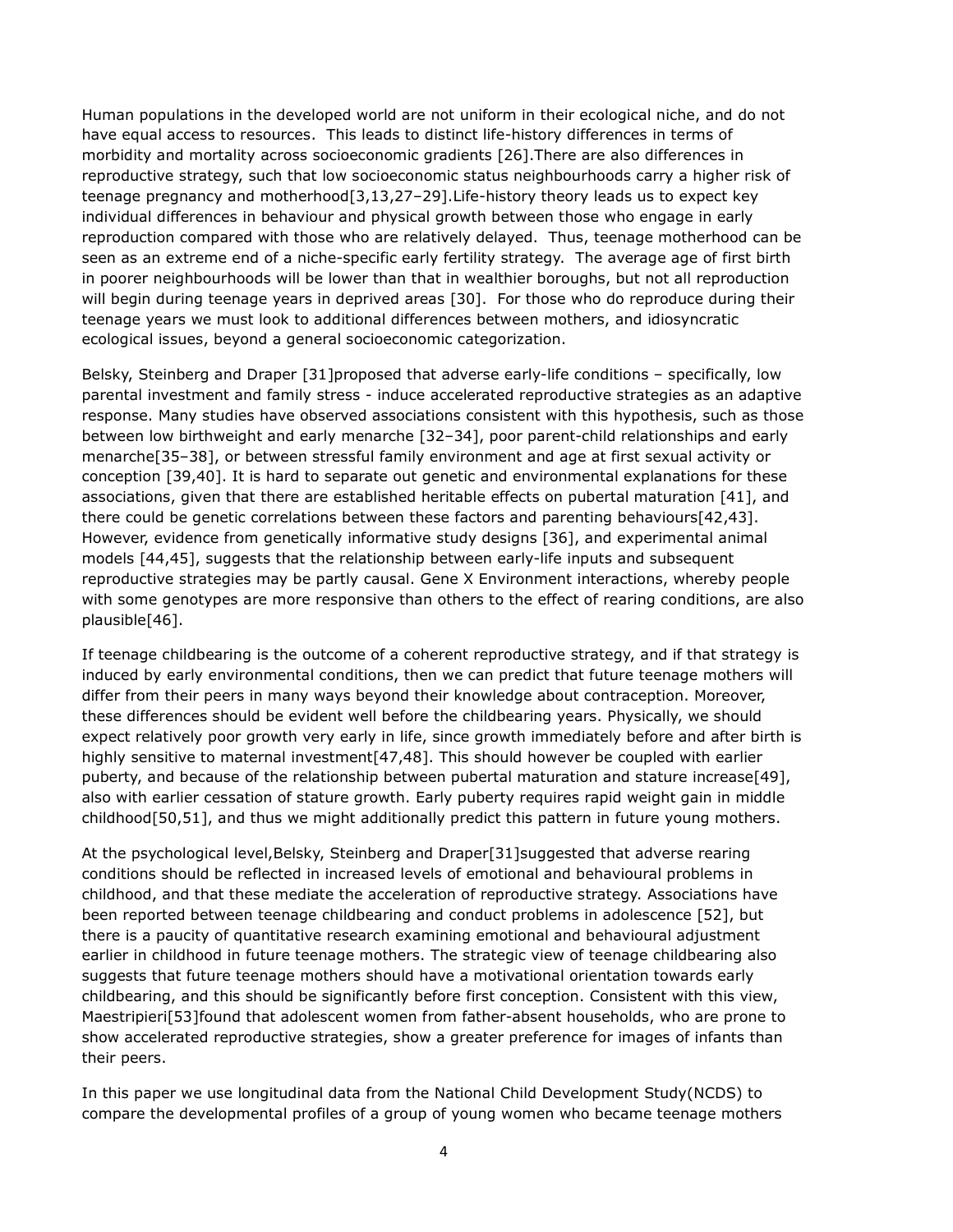Human populations in the developed world are not uniform in their ecological niche, and do not have equal access to resources. This leads to distinct life-history differences in terms of morbidity and mortality across socioeconomic gradients [26].There are also differences in reproductive strategy, such that low socioeconomic status neighbourhoods carry a higher risk of teenage pregnancy and motherhood[3,13,27–29].Life-history theory leads us to expect key individual differences in behaviour and physical growth between those who engage in early reproduction compared with those who are relatively delayed. Thus, teenage motherhood can be seen as an extreme end of a niche-specific early fertility strategy. The average age of first birth in poorer neighbourhoods will be lower than that in wealthier boroughs, but not all reproduction will begin during teenage years in deprived areas [30]. For those who do reproduce during their teenage years we must look to additional differences between mothers, and idiosyncratic ecological issues, beyond a general socioeconomic categorization.

Belsky, Steinberg and Draper [31]proposed that adverse early-life conditions – specifically, low parental investment and family stress - induce accelerated reproductive strategies as an adaptive response. Many studies have observed associations consistent with this hypothesis, such as those between low birthweight and early menarche [32–34], poor parent-child relationships and early menarche[35–38], or between stressful family environment and age at first sexual activity or conception [39,40]. It is hard to separate out genetic and environmental explanations for these associations, given that there are established heritable effects on pubertal maturation [41], and there could be genetic correlations between these factors and parenting behaviours[42,43]. However, evidence from genetically informative study designs [36], and experimental animal models [44,45], suggests that the relationship between early-life inputs and subsequent reproductive strategies may be partly causal. Gene X Environment interactions, whereby people with some genotypes are more responsive than others to the effect of rearing conditions, are also plausible[46].

If teenage childbearing is the outcome of a coherent reproductive strategy, and if that strategy is induced by early environmental conditions, then we can predict that future teenage mothers will differ from their peers in many ways beyond their knowledge about contraception. Moreover, these differences should be evident well before the childbearing years. Physically, we should expect relatively poor growth very early in life, since growth immediately before and after birth is highly sensitive to maternal investment[47,48]. This should however be coupled with earlier puberty, and because of the relationship between pubertal maturation and stature increase[49], also with earlier cessation of stature growth. Early puberty requires rapid weight gain in middle childhood[50,51], and thus we might additionally predict this pattern in future young mothers.

At the psychological level,Belsky, Steinberg and Draper[31]suggested that adverse rearing conditions should be reflected in increased levels of emotional and behavioural problems in childhood, and that these mediate the acceleration of reproductive strategy. Associations have been reported between teenage childbearing and conduct problems in adolescence [52], but there is a paucity of quantitative research examining emotional and behavioural adjustment earlier in childhood in future teenage mothers. The strategic view of teenage childbearing also suggests that future teenage mothers should have a motivational orientation towards early childbearing, and this should be significantly before first conception. Consistent with this view, Maestripieri[53]found that adolescent women from father-absent households, who are prone to show accelerated reproductive strategies, show a greater preference for images of infants than their peers.

In this paper we use longitudinal data from the National Child Development Study(NCDS) to compare the developmental profiles of a group of young women who became teenage mothers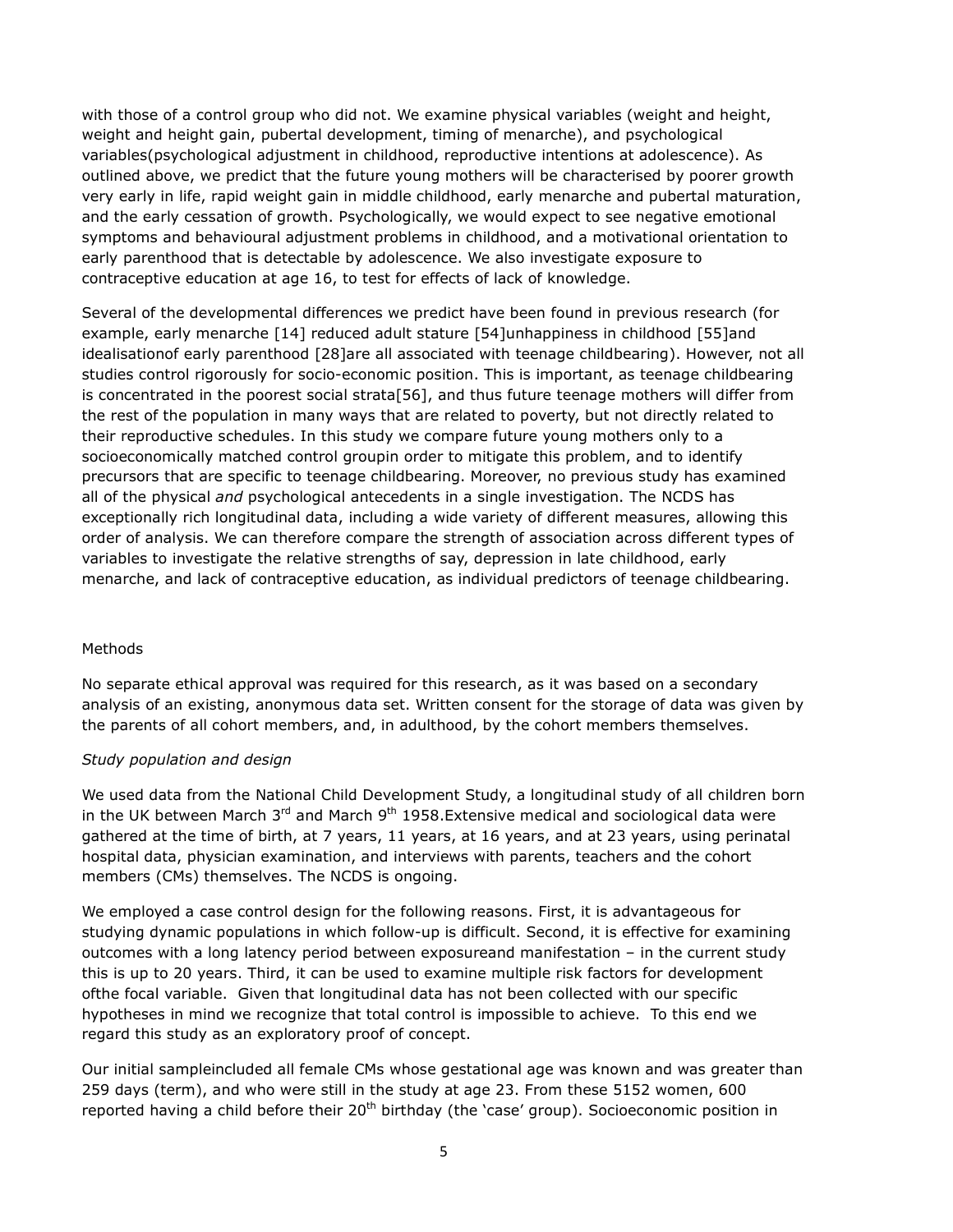with those of a control group who did not. We examine physical variables (weight and height, weight and height gain, pubertal development, timing of menarche), and psychological variables(psychological adjustment in childhood, reproductive intentions at adolescence). As outlined above, we predict that the future young mothers will be characterised by poorer growth very early in life, rapid weight gain in middle childhood, early menarche and pubertal maturation, and the early cessation of growth. Psychologically, we would expect to see negative emotional symptoms and behavioural adjustment problems in childhood, and a motivational orientation to early parenthood that is detectable by adolescence. We also investigate exposure to contraceptive education at age 16, to test for effects of lack of knowledge.

Several of the developmental differences we predict have been found in previous research (for example, early menarche [14] reduced adult stature [54]unhappiness in childhood [55]and idealisationof early parenthood [28]are all associated with teenage childbearing). However, not all studies control rigorously for socio-economic position. This is important, as teenage childbearing is concentrated in the poorest social strata[56], and thus future teenage mothers will differ from the rest of the population in many ways that are related to poverty, but not directly related to their reproductive schedules. In this study we compare future young mothers only to a socioeconomically matched control groupin order to mitigate this problem, and to identify precursors that are specific to teenage childbearing. Moreover, no previous study has examined all of the physical and psychological antecedents in a single investigation. The NCDS has exceptionally rich longitudinal data, including a wide variety of different measures, allowing this order of analysis. We can therefore compare the strength of association across different types of variables to investigate the relative strengths of say, depression in late childhood, early menarche, and lack of contraceptive education, as individual predictors of teenage childbearing.

#### Methods

No separate ethical approval was required for this research, as it was based on a secondary analysis of an existing, anonymous data set. Written consent for the storage of data was given by the parents of all cohort members, and, in adulthood, by the cohort members themselves.

#### Study population and design

We used data from the National Child Development Study, a longitudinal study of all children born in the UK between March  $3<sup>rd</sup>$  and March  $9<sup>th</sup>$  1958. Extensive medical and sociological data were gathered at the time of birth, at 7 years, 11 years, at 16 years, and at 23 years, using perinatal hospital data, physician examination, and interviews with parents, teachers and the cohort members (CMs) themselves. The NCDS is ongoing.

We employed a case control design for the following reasons. First, it is advantageous for studying dynamic populations in which follow-up is difficult. Second, it is effective for examining outcomes with a long latency period between exposureand manifestation – in the current study this is up to 20 years. Third, it can be used to examine multiple risk factors for development ofthe focal variable. Given that longitudinal data has not been collected with our specific hypotheses in mind we recognize that total control is impossible to achieve. To this end we regard this study as an exploratory proof of concept.

Our initial sampleincluded all female CMs whose gestational age was known and was greater than 259 days (term), and who were still in the study at age 23. From these 5152 women, 600 reported having a child before their 20<sup>th</sup> birthday (the 'case' group). Socioeconomic position in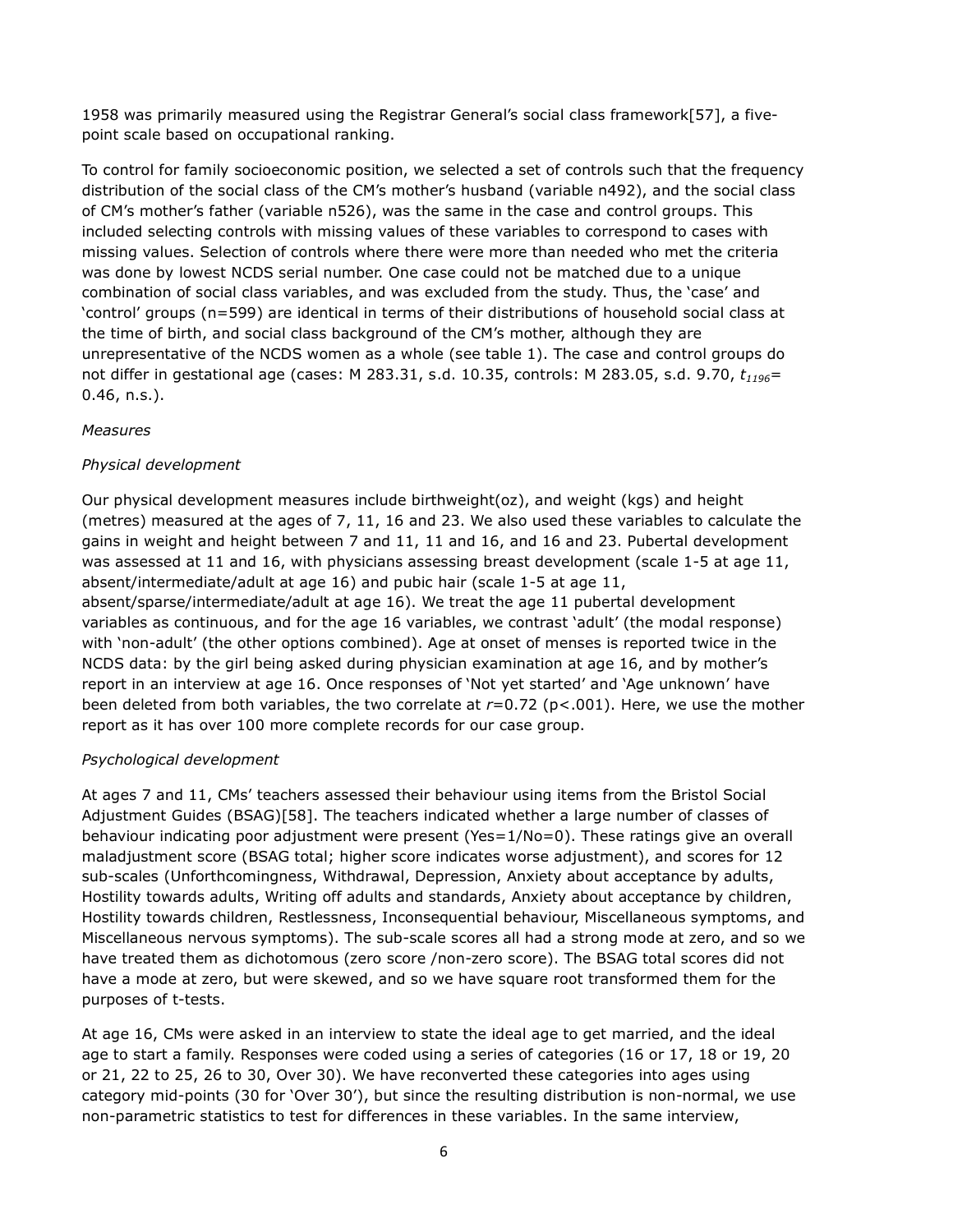1958 was primarily measured using the Registrar General's social class framework[57], a fivepoint scale based on occupational ranking.

To control for family socioeconomic position, we selected a set of controls such that the frequency distribution of the social class of the CM's mother's husband (variable n492), and the social class of CM's mother's father (variable n526), was the same in the case and control groups. This included selecting controls with missing values of these variables to correspond to cases with missing values. Selection of controls where there were more than needed who met the criteria was done by lowest NCDS serial number. One case could not be matched due to a unique combination of social class variables, and was excluded from the study. Thus, the 'case' and 'control' groups (n=599) are identical in terms of their distributions of household social class at the time of birth, and social class background of the CM's mother, although they are unrepresentative of the NCDS women as a whole (see table 1). The case and control groups do not differ in gestational age (cases: M 283.31, s.d. 10.35, controls: M 283.05, s.d. 9.70,  $t_{1196}$ = 0.46, n.s.).

#### Measures

#### Physical development

Our physical development measures include birthweight(oz), and weight (kgs) and height (metres) measured at the ages of 7, 11, 16 and 23. We also used these variables to calculate the gains in weight and height between 7 and 11, 11 and 16, and 16 and 23. Pubertal development was assessed at 11 and 16, with physicians assessing breast development (scale 1-5 at age 11, absent/intermediate/adult at age 16) and pubic hair (scale 1-5 at age 11, absent/sparse/intermediate/adult at age 16). We treat the age 11 pubertal development variables as continuous, and for the age 16 variables, we contrast 'adult' (the modal response) with 'non-adult' (the other options combined). Age at onset of menses is reported twice in the NCDS data: by the girl being asked during physician examination at age 16, and by mother's report in an interview at age 16. Once responses of 'Not yet started' and 'Age unknown' have been deleted from both variables, the two correlate at  $r=0.72$  (p<.001). Here, we use the mother report as it has over 100 more complete records for our case group.

#### Psychological development

At ages 7 and 11, CMs' teachers assessed their behaviour using items from the Bristol Social Adjustment Guides (BSAG)[58]. The teachers indicated whether a large number of classes of behaviour indicating poor adjustment were present (Yes=1/No=0). These ratings give an overall maladjustment score (BSAG total; higher score indicates worse adjustment), and scores for 12 sub-scales (Unforthcomingness, Withdrawal, Depression, Anxiety about acceptance by adults, Hostility towards adults, Writing off adults and standards, Anxiety about acceptance by children, Hostility towards children, Restlessness, Inconsequential behaviour, Miscellaneous symptoms, and Miscellaneous nervous symptoms). The sub-scale scores all had a strong mode at zero, and so we have treated them as dichotomous (zero score /non-zero score). The BSAG total scores did not have a mode at zero, but were skewed, and so we have square root transformed them for the purposes of t-tests.

At age 16, CMs were asked in an interview to state the ideal age to get married, and the ideal age to start a family. Responses were coded using a series of categories (16 or 17, 18 or 19, 20 or 21, 22 to 25, 26 to 30, Over 30). We have reconverted these categories into ages using category mid-points (30 for 'Over 30'), but since the resulting distribution is non-normal, we use non-parametric statistics to test for differences in these variables. In the same interview,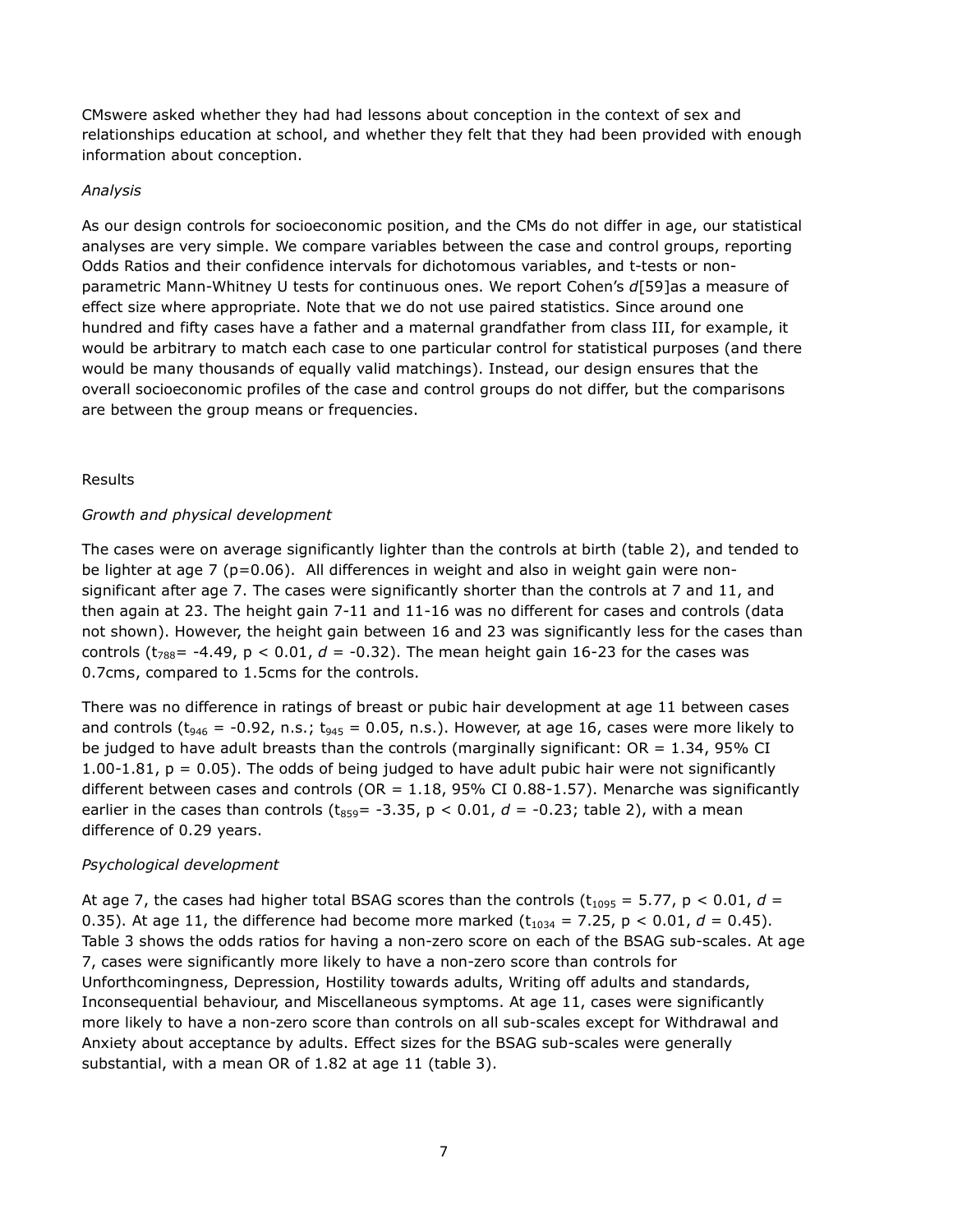CMswere asked whether they had had lessons about conception in the context of sex and relationships education at school, and whether they felt that they had been provided with enough information about conception.

#### Analysis

As our design controls for socioeconomic position, and the CMs do not differ in age, our statistical analyses are very simple. We compare variables between the case and control groups, reporting Odds Ratios and their confidence intervals for dichotomous variables, and t-tests or nonparametric Mann-Whitney U tests for continuous ones. We report Cohen's d[59]as a measure of effect size where appropriate. Note that we do not use paired statistics. Since around one hundred and fifty cases have a father and a maternal grandfather from class III, for example, it would be arbitrary to match each case to one particular control for statistical purposes (and there would be many thousands of equally valid matchings). Instead, our design ensures that the overall socioeconomic profiles of the case and control groups do not differ, but the comparisons are between the group means or frequencies.

#### Results

#### Growth and physical development

The cases were on average significantly lighter than the controls at birth (table 2), and tended to be lighter at age 7 (p=0.06). All differences in weight and also in weight gain were nonsignificant after age 7. The cases were significantly shorter than the controls at 7 and 11, and then again at 23. The height gain 7-11 and 11-16 was no different for cases and controls (data not shown). However, the height gain between 16 and 23 was significantly less for the cases than controls ( $t_{788}$ = -4.49, p < 0.01, d = -0.32). The mean height gain 16-23 for the cases was 0.7cms, compared to 1.5cms for the controls.

There was no difference in ratings of breast or pubic hair development at age 11 between cases and controls ( $t_{946}$  = -0.92, n.s.;  $t_{945}$  = 0.05, n.s.). However, at age 16, cases were more likely to be judged to have adult breasts than the controls (marginally significant:  $OR = 1.34$ , 95% CI  $1.00-1.81$ ,  $p = 0.05$ ). The odds of being judged to have adult pubic hair were not significantly different between cases and controls (OR =  $1.18$ , 95% CI 0.88-1.57). Menarche was significantly earlier in the cases than controls ( $t_{859}$  = -3.35, p < 0.01,  $d$  = -0.23; table 2), with a mean difference of 0.29 years.

#### Psychological development

At age 7, the cases had higher total BSAG scores than the controls ( $t_{1095} = 5.77$ ,  $p < 0.01$ ,  $d =$ 0.35). At age 11, the difference had become more marked  $(t_{1034} = 7.25, p < 0.01, d = 0.45)$ . Table 3 shows the odds ratios for having a non-zero score on each of the BSAG sub-scales. At age 7, cases were significantly more likely to have a non-zero score than controls for Unforthcomingness, Depression, Hostility towards adults, Writing off adults and standards, Inconsequential behaviour, and Miscellaneous symptoms. At age 11, cases were significantly more likely to have a non-zero score than controls on all sub-scales except for Withdrawal and Anxiety about acceptance by adults. Effect sizes for the BSAG sub-scales were generally substantial, with a mean OR of 1.82 at age 11 (table 3).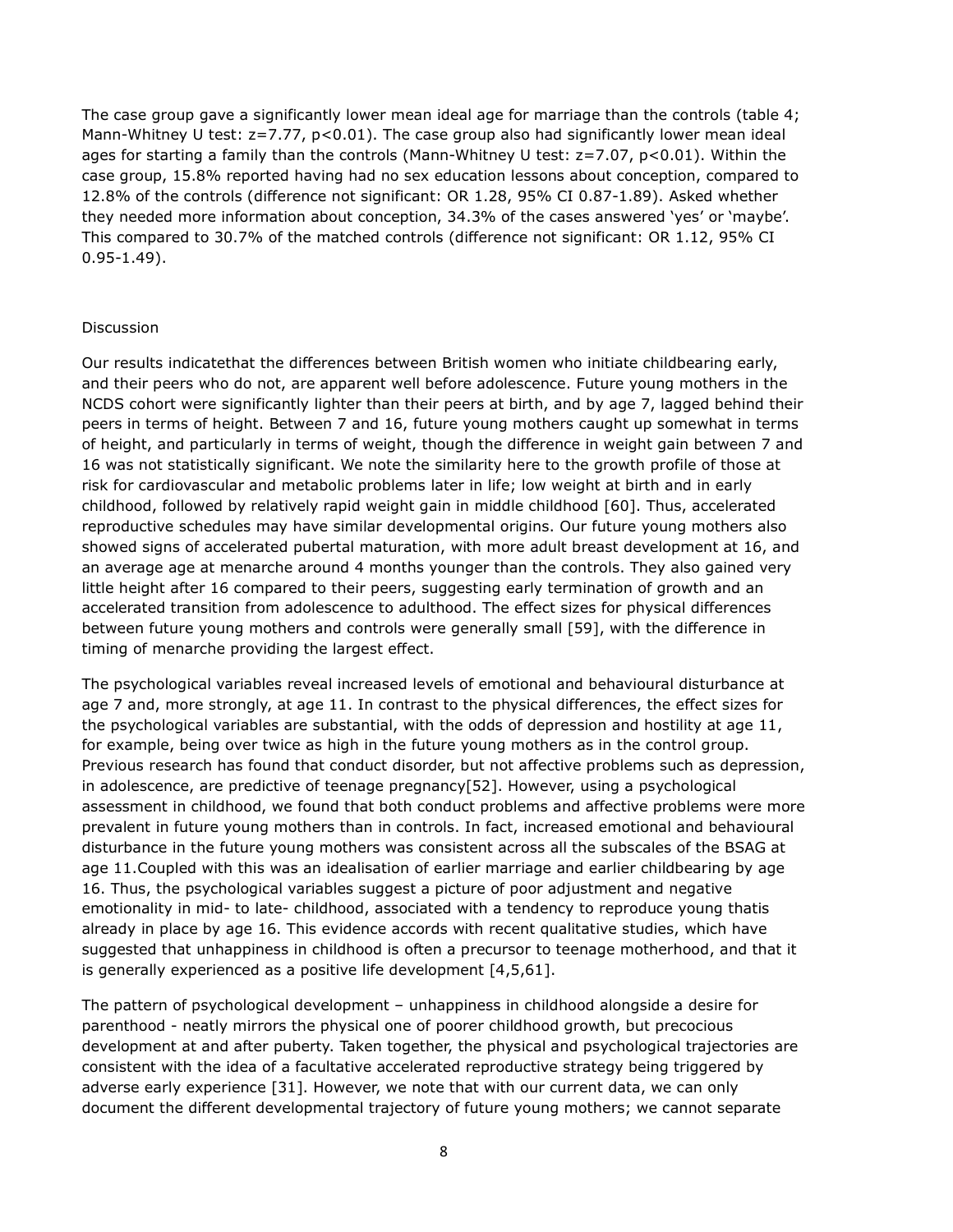The case group gave a significantly lower mean ideal age for marriage than the controls (table 4; Mann-Whitney U test: z=7.77, p<0.01). The case group also had significantly lower mean ideal ages for starting a family than the controls (Mann-Whitney U test: z=7.07, p<0.01). Within the case group, 15.8% reported having had no sex education lessons about conception, compared to 12.8% of the controls (difference not significant: OR 1.28, 95% CI 0.87-1.89). Asked whether they needed more information about conception, 34.3% of the cases answered 'yes' or 'maybe'. This compared to 30.7% of the matched controls (difference not significant: OR 1.12, 95% CI 0.95-1.49).

#### Discussion

Our results indicatethat the differences between British women who initiate childbearing early, and their peers who do not, are apparent well before adolescence. Future young mothers in the NCDS cohort were significantly lighter than their peers at birth, and by age 7, lagged behind their peers in terms of height. Between 7 and 16, future young mothers caught up somewhat in terms of height, and particularly in terms of weight, though the difference in weight gain between 7 and 16 was not statistically significant. We note the similarity here to the growth profile of those at risk for cardiovascular and metabolic problems later in life; low weight at birth and in early childhood, followed by relatively rapid weight gain in middle childhood [60]. Thus, accelerated reproductive schedules may have similar developmental origins. Our future young mothers also showed signs of accelerated pubertal maturation, with more adult breast development at 16, and an average age at menarche around 4 months younger than the controls. They also gained very little height after 16 compared to their peers, suggesting early termination of growth and an accelerated transition from adolescence to adulthood. The effect sizes for physical differences between future young mothers and controls were generally small [59], with the difference in timing of menarche providing the largest effect.

The psychological variables reveal increased levels of emotional and behavioural disturbance at age 7 and, more strongly, at age 11. In contrast to the physical differences, the effect sizes for the psychological variables are substantial, with the odds of depression and hostility at age 11, for example, being over twice as high in the future young mothers as in the control group. Previous research has found that conduct disorder, but not affective problems such as depression, in adolescence, are predictive of teenage pregnancy[52]. However, using a psychological assessment in childhood, we found that both conduct problems and affective problems were more prevalent in future young mothers than in controls. In fact, increased emotional and behavioural disturbance in the future young mothers was consistent across all the subscales of the BSAG at age 11.Coupled with this was an idealisation of earlier marriage and earlier childbearing by age 16. Thus, the psychological variables suggest a picture of poor adjustment and negative emotionality in mid- to late- childhood, associated with a tendency to reproduce young thatis already in place by age 16. This evidence accords with recent qualitative studies, which have suggested that unhappiness in childhood is often a precursor to teenage motherhood, and that it is generally experienced as a positive life development [4,5,61].

The pattern of psychological development – unhappiness in childhood alongside a desire for parenthood - neatly mirrors the physical one of poorer childhood growth, but precocious development at and after puberty. Taken together, the physical and psychological trajectories are consistent with the idea of a facultative accelerated reproductive strategy being triggered by adverse early experience [31]. However, we note that with our current data, we can only document the different developmental trajectory of future young mothers; we cannot separate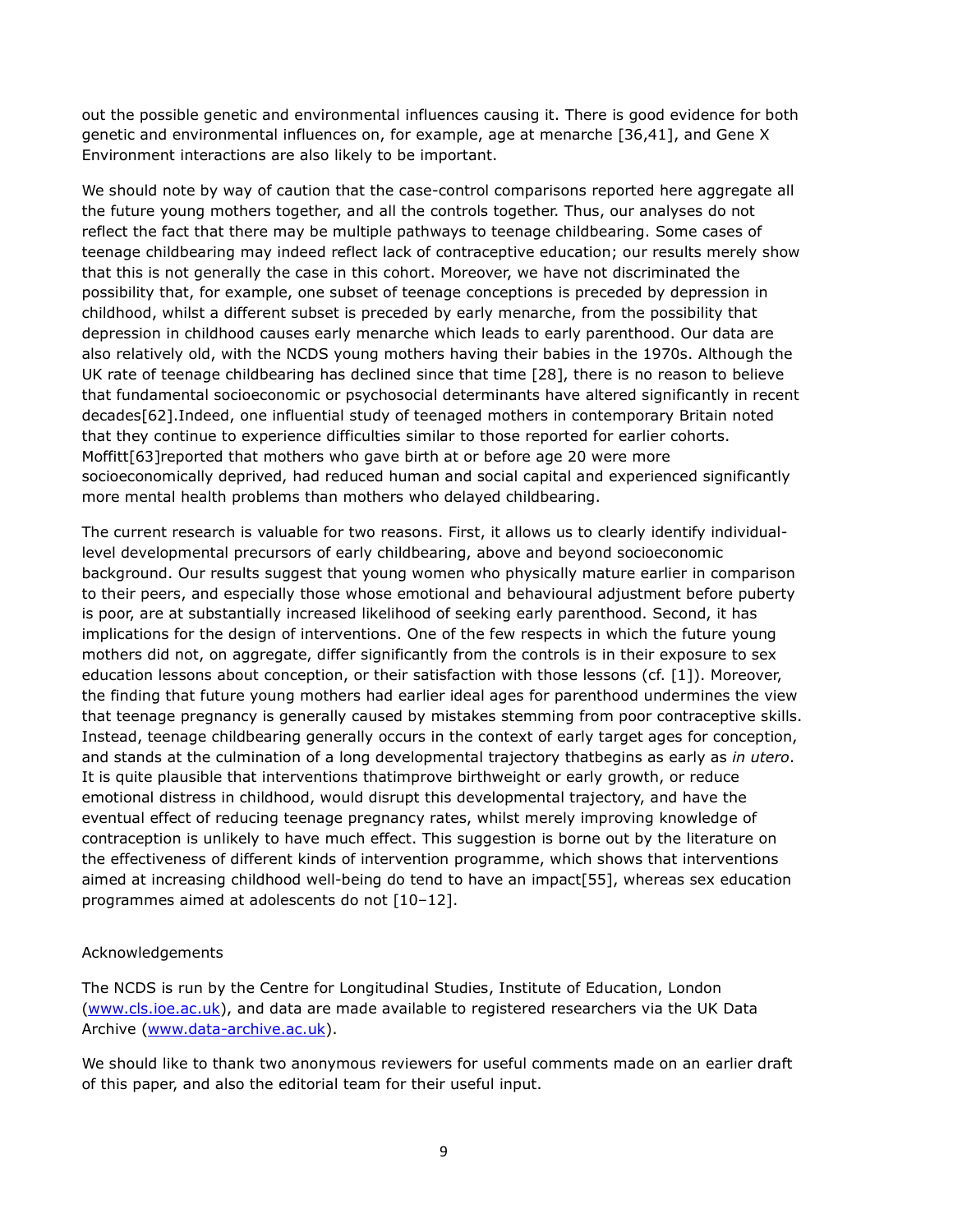out the possible genetic and environmental influences causing it. There is good evidence for both genetic and environmental influences on, for example, age at menarche [36,41], and Gene X Environment interactions are also likely to be important.

We should note by way of caution that the case-control comparisons reported here aggregate all the future young mothers together, and all the controls together. Thus, our analyses do not reflect the fact that there may be multiple pathways to teenage childbearing. Some cases of teenage childbearing may indeed reflect lack of contraceptive education; our results merely show that this is not generally the case in this cohort. Moreover, we have not discriminated the possibility that, for example, one subset of teenage conceptions is preceded by depression in childhood, whilst a different subset is preceded by early menarche, from the possibility that depression in childhood causes early menarche which leads to early parenthood. Our data are also relatively old, with the NCDS young mothers having their babies in the 1970s. Although the UK rate of teenage childbearing has declined since that time [28], there is no reason to believe that fundamental socioeconomic or psychosocial determinants have altered significantly in recent decades[62].Indeed, one influential study of teenaged mothers in contemporary Britain noted that they continue to experience difficulties similar to those reported for earlier cohorts. Moffitt[63]reported that mothers who gave birth at or before age 20 were more socioeconomically deprived, had reduced human and social capital and experienced significantly more mental health problems than mothers who delayed childbearing.

The current research is valuable for two reasons. First, it allows us to clearly identify individuallevel developmental precursors of early childbearing, above and beyond socioeconomic background. Our results suggest that young women who physically mature earlier in comparison to their peers, and especially those whose emotional and behavioural adjustment before puberty is poor, are at substantially increased likelihood of seeking early parenthood. Second, it has implications for the design of interventions. One of the few respects in which the future young mothers did not, on aggregate, differ significantly from the controls is in their exposure to sex education lessons about conception, or their satisfaction with those lessons (cf. [1]). Moreover, the finding that future young mothers had earlier ideal ages for parenthood undermines the view that teenage pregnancy is generally caused by mistakes stemming from poor contraceptive skills. Instead, teenage childbearing generally occurs in the context of early target ages for conception, and stands at the culmination of a long developmental trajectory thatbegins as early as in utero. It is quite plausible that interventions thatimprove birthweight or early growth, or reduce emotional distress in childhood, would disrupt this developmental trajectory, and have the eventual effect of reducing teenage pregnancy rates, whilst merely improving knowledge of contraception is unlikely to have much effect. This suggestion is borne out by the literature on the effectiveness of different kinds of intervention programme, which shows that interventions aimed at increasing childhood well-being do tend to have an impact[55], whereas sex education programmes aimed at adolescents do not [10–12].

#### Acknowledgements

The NCDS is run by the Centre for Longitudinal Studies, Institute of Education, London (www.cls.ioe.ac.uk), and data are made available to registered researchers via the UK Data Archive (www.data-archive.ac.uk).

We should like to thank two anonymous reviewers for useful comments made on an earlier draft of this paper, and also the editorial team for their useful input.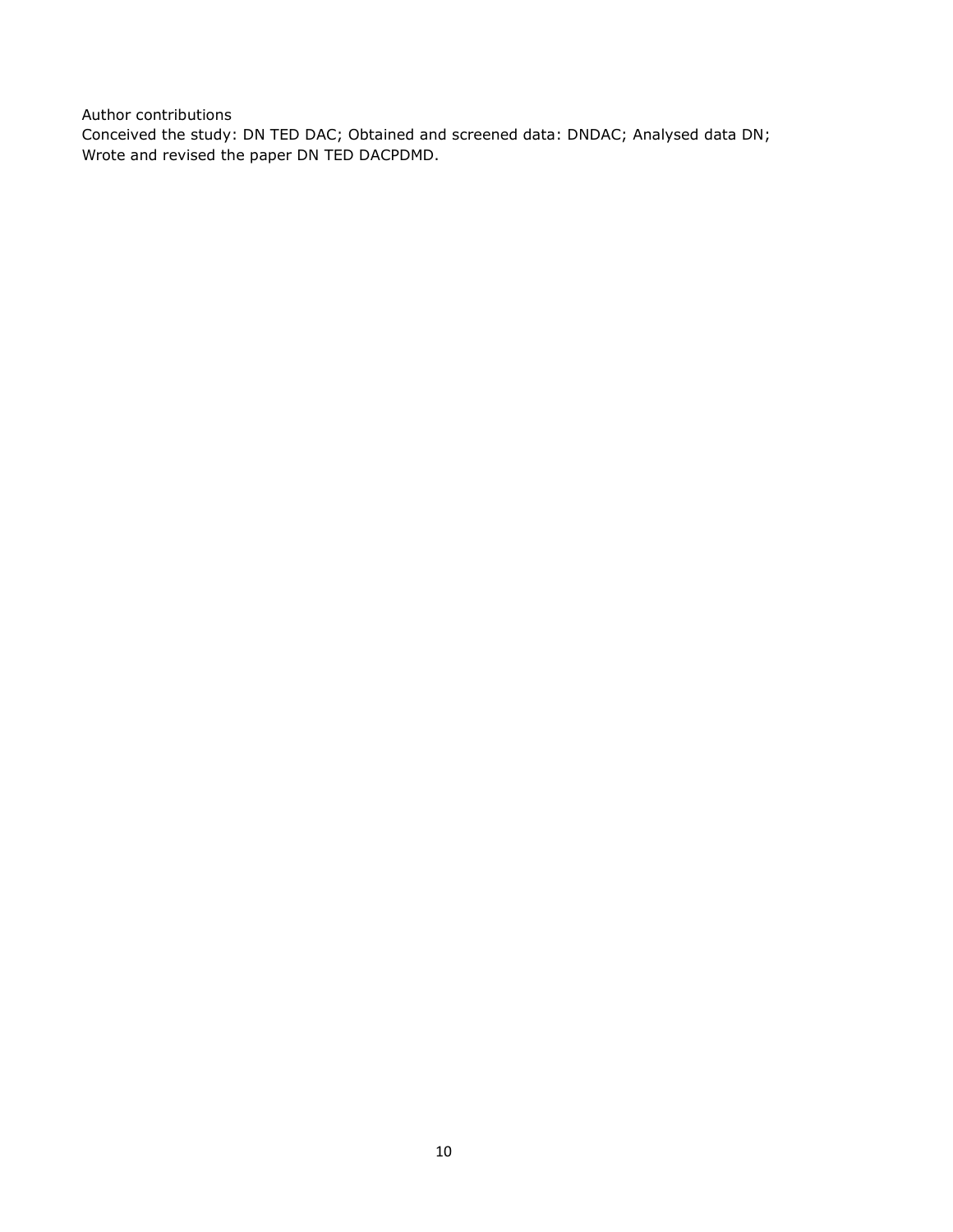Author contributions Conceived the study: DN TED DAC; Obtained and screened data: DNDAC; Analysed data DN; Wrote and revised the paper DN TED DACPDMD.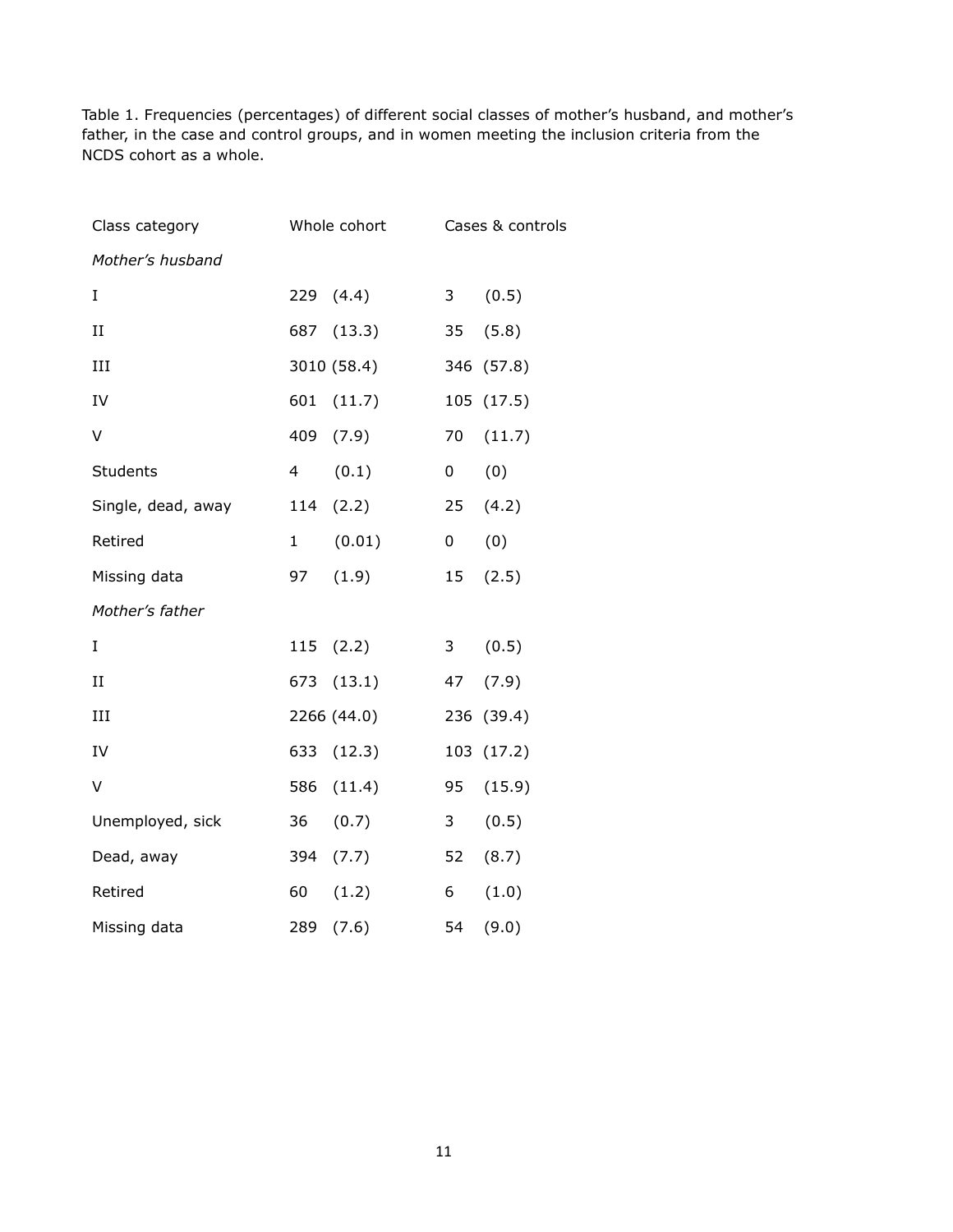Table 1. Frequencies (percentages) of different social classes of mother's husband, and mother's father, in the case and control groups, and in women meeting the inclusion criteria from the NCDS cohort as a whole.

| Class category     |              | Whole cohort |                 | Cases & controls |
|--------------------|--------------|--------------|-----------------|------------------|
| Mother's husband   |              |              |                 |                  |
| I                  | 229          | (4.4)        | 3               | (0.5)            |
| $\rm II$           | 687          | (13.3)       | 35              | (5.8)            |
| III                |              | 3010 (58.4)  |                 | 346 (57.8)       |
| IV                 | 601          | (11.7)       |                 | 105 (17.5)       |
| V                  | 409          | (7.9)        | 70              | (11.7)           |
| <b>Students</b>    | 4            | (0.1)        | 0               | (0)              |
| Single, dead, away | 114          | (2.2)        | 25 <sub>2</sub> | (4.2)            |
| Retired            | $\mathbf{1}$ | (0.01)       | 0               | (0)              |
| Missing data       | 97           | (1.9)        | 15              | (2.5)            |
| Mother's father    |              |              |                 |                  |
| I                  | 115          | (2.2)        | 3               | (0.5)            |
| $_{\rm II}$        | 673          | (13.1)       | 47              | (7.9)            |
| $\;$ III           |              | 2266 (44.0)  |                 | 236 (39.4)       |
| IV                 | 633          | (12.3)       |                 | 103 (17.2)       |
| V                  | 586          | (11.4)       | 95              | (15.9)           |
| Unemployed, sick   | 36           | (0.7)        | $\mathbf{3}$    | (0.5)            |
| Dead, away         | 394          | (7.7)        | 52              | (8.7)            |
| Retired            | 60           | (1.2)        | 6               | (1.0)            |
| Missing data       | 289          | (7.6)        | 54              | (9.0)            |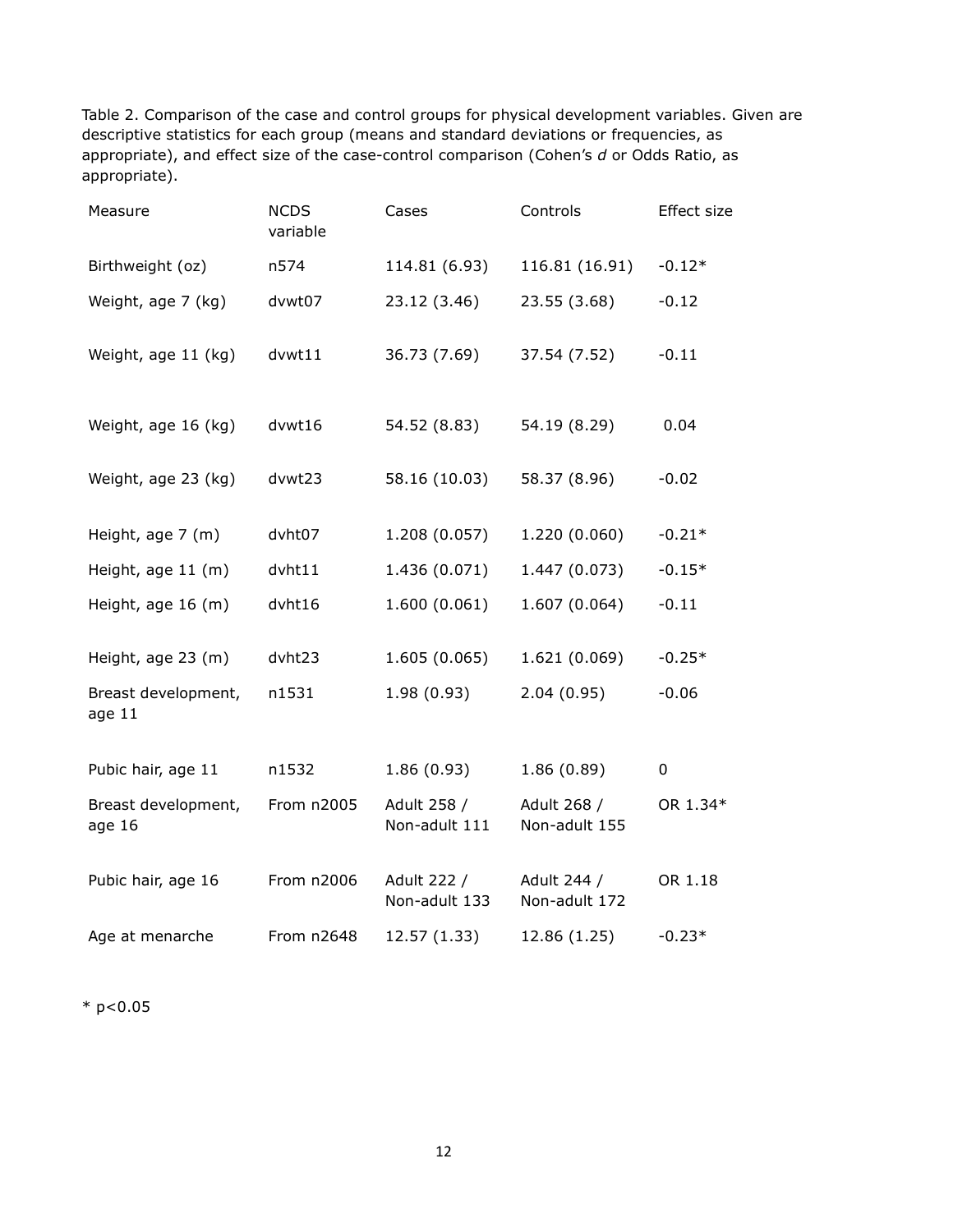Table 2. Comparison of the case and control groups for physical development variables. Given are descriptive statistics for each group (means and standard deviations or frequencies, as appropriate), and effect size of the case-control comparison (Cohen's d or Odds Ratio, as appropriate).

| Measure                       | <b>NCDS</b><br>variable | Cases                        | Controls                     | Effect size |
|-------------------------------|-------------------------|------------------------------|------------------------------|-------------|
| Birthweight (oz)              | n574                    | 114.81 (6.93)                | 116.81 (16.91)               | $-0.12*$    |
| Weight, age 7 (kg)            | dvwt07                  | 23.12 (3.46)                 | 23.55 (3.68)                 | $-0.12$     |
| Weight, age 11 (kg)           | dvwt11                  | 36.73 (7.69)                 | 37.54 (7.52)                 | $-0.11$     |
| Weight, age 16 (kg)           | dvwt16                  | 54.52 (8.83)                 | 54.19 (8.29)                 | 0.04        |
| Weight, age 23 (kg)           | dvwt23                  | 58.16 (10.03)                | 58.37 (8.96)                 | $-0.02$     |
| Height, age 7 (m)             | dvht07                  | 1.208 (0.057)                | 1.220 (0.060)                | $-0.21*$    |
| Height, age 11 (m)            | $d$ vht $11$            | 1.436 (0.071)                | 1.447 (0.073)                | $-0.15*$    |
| Height, age 16 (m)            | dvht16                  | 1.600 (0.061)                | 1.607 (0.064)                | $-0.11$     |
| Height, age 23 (m)            | dvht23                  | 1.605 (0.065)                | 1.621 (0.069)                | $-0.25*$    |
| Breast development,<br>age 11 | n1531                   | 1.98(0.93)                   | 2.04(0.95)                   | $-0.06$     |
| Pubic hair, age 11            | n1532                   | 1.86(0.93)                   | 1.86(0.89)                   | $\pmb{0}$   |
| Breast development,<br>age 16 | From n2005              | Adult 258 /<br>Non-adult 111 | Adult 268 /<br>Non-adult 155 | OR 1.34*    |
| Pubic hair, age 16            | From n2006              | Adult 222 /<br>Non-adult 133 | Adult 244 /<br>Non-adult 172 | OR 1.18     |
| Age at menarche               | From n2648              | 12.57 (1.33)                 | 12.86 (1.25)                 | $-0.23*$    |

 $*$  p<0.05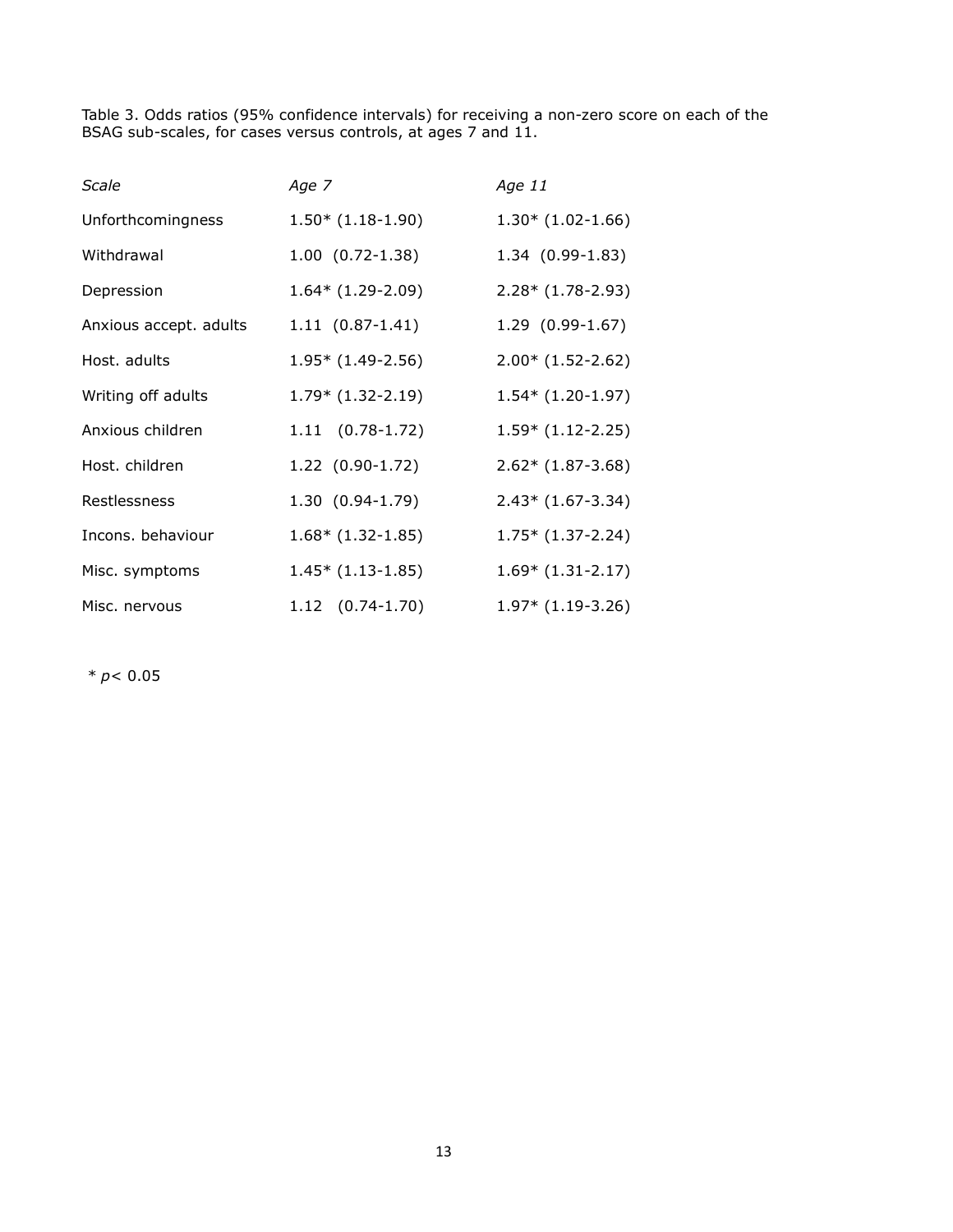Table 3. Odds ratios (95% confidence intervals) for receiving a non-zero score on each of the BSAG sub-scales, for cases versus controls, at ages 7 and 11.

| Scale                  | Age 7                | Age 11               |
|------------------------|----------------------|----------------------|
| Unforthcomingness      | $1.50*(1.18-1.90)$   | $1.30*(1.02-1.66)$   |
| Withdrawal             | $1.00(0.72-1.38)$    | $1.34(0.99-1.83)$    |
| Depression             | $1.64*$ (1.29-2.09)  | $2.28*(1.78-2.93)$   |
| Anxious accept. adults | $1.11(0.87-1.41)$    | $1.29$ $(0.99-1.67)$ |
| Host, adults           | $1.95*$ (1.49-2.56)  | $2.00*(1.52-2.62)$   |
| Writing off adults     | $1.79*$ (1.32-2.19)  | $1.54*(1.20-1.97)$   |
| Anxious children       | $1.11$ $(0.78-1.72)$ | $1.59*$ (1.12-2.25)  |
| Host. children         | $1.22$ (0.90-1.72)   | $2.62*(1.87-3.68)$   |
| Restlessness           | $1.30(0.94-1.79)$    | $2.43*(1.67-3.34)$   |
| Incons. behaviour      | $1.68*(1.32-1.85)$   | $1.75*$ (1.37-2.24)  |
| Misc. symptoms         | $1.45*$ (1.13-1.85)  | $1.69*$ (1.31-2.17)  |
| Misc. nervous          | $1.12$ $(0.74-1.70)$ | $1.97*$ (1.19-3.26)  |

\* p< 0.05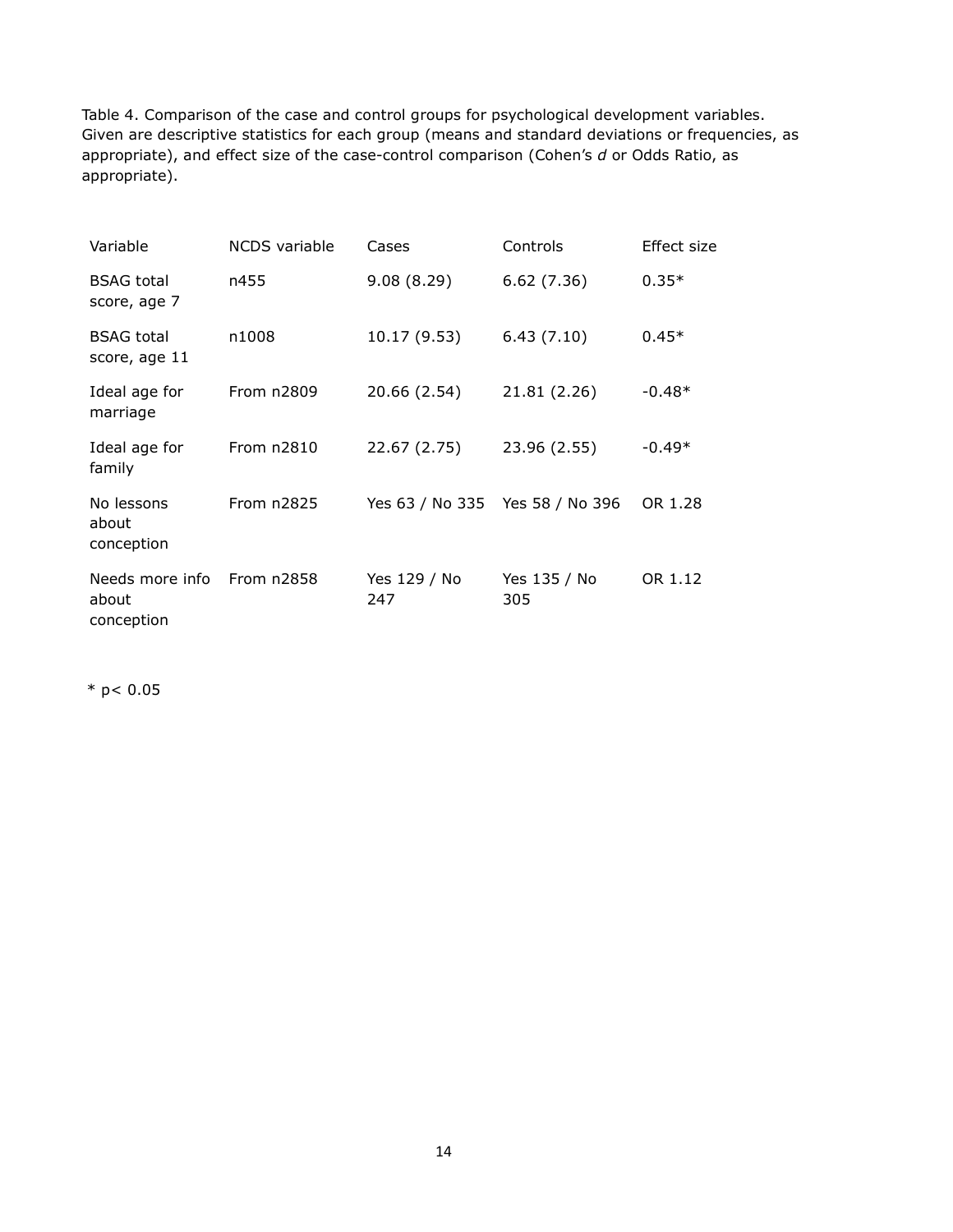Table 4. Comparison of the case and control groups for psychological development variables. Given are descriptive statistics for each group (means and standard deviations or frequencies, as appropriate), and effect size of the case-control comparison (Cohen's d or Odds Ratio, as appropriate).

| Variable                               | NCDS variable | Cases                           | Controls            | Effect size |
|----------------------------------------|---------------|---------------------------------|---------------------|-------------|
| <b>BSAG</b> total<br>score, age 7      | n455          | 9.08(8.29)                      | 6.62(7.36)          | $0.35*$     |
| <b>BSAG</b> total<br>score, age 11     | n1008         | 10.17 (9.53)                    | 6.43(7.10)          | $0.45*$     |
| Ideal age for<br>marriage              | From n2809    | 20.66 (2.54)                    | 21.81 (2.26)        | $-0.48*$    |
| Ideal age for<br>family                | From n2810    | 22.67 (2.75)                    | 23.96 (2.55)        | $-0.49*$    |
| No lessons<br>about<br>conception      | From n2825    | Yes 63 / No 335 Yes 58 / No 396 |                     | OR 1.28     |
| Needs more info<br>about<br>conception | From n2858    | Yes 129 / No<br>247             | Yes 135 / No<br>305 | OR 1.12     |

 $*$  p< 0.05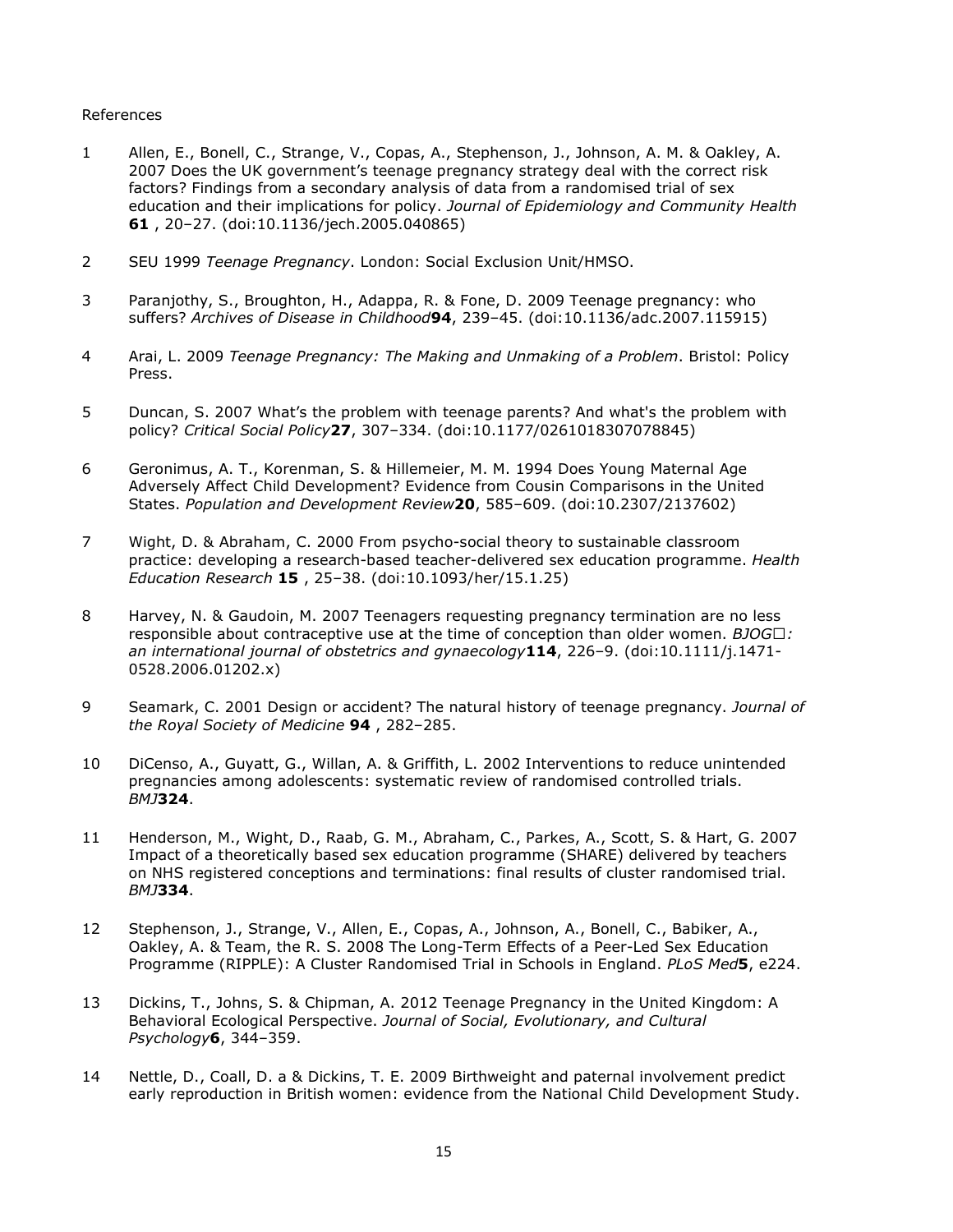#### References

- 1 Allen, E., Bonell, C., Strange, V., Copas, A., Stephenson, J., Johnson, A. M. & Oakley, A. 2007 Does the UK government's teenage pregnancy strategy deal with the correct risk factors? Findings from a secondary analysis of data from a randomised trial of sex education and their implications for policy. Journal of Epidemiology and Community Health 61 , 20–27. (doi:10.1136/jech.2005.040865)
- 2 SEU 1999 Teenage Pregnancy. London: Social Exclusion Unit/HMSO.
- 3 Paranjothy, S., Broughton, H., Adappa, R. & Fone, D. 2009 Teenage pregnancy: who suffers? Archives of Disease in Childhood 94, 239-45. (doi:10.1136/adc.2007.115915)
- 4 Arai, L. 2009 Teenage Pregnancy: The Making and Unmaking of a Problem. Bristol: Policy Press.
- 5 Duncan, S. 2007 What's the problem with teenage parents? And what's the problem with policy? Critical Social Policy27, 307–334. (doi:10.1177/0261018307078845)
- 6 Geronimus, A. T., Korenman, S. & Hillemeier, M. M. 1994 Does Young Maternal Age Adversely Affect Child Development? Evidence from Cousin Comparisons in the United States. Population and Development Review20, 585–609. (doi:10.2307/2137602)
- 7 Wight, D. & Abraham, C. 2000 From psycho-social theory to sustainable classroom practice: developing a research-based teacher-delivered sex education programme. Health Education Research 15 , 25–38. (doi:10.1093/her/15.1.25)
- 8 Harvey, N. & Gaudoin, M. 2007 Teenagers requesting pregnancy termination are no less responsible about contraceptive use at the time of conception than older women. BJOG/: an international journal of obstetrics and gynaecology $114$ , 226-9. (doi:10.1111/j.1471-0528.2006.01202.x)
- 9 Seamark, C. 2001 Design or accident? The natural history of teenage pregnancy. Journal of the Royal Society of Medicine 94, 282-285.
- 10 DiCenso, A., Guyatt, G., Willan, A. & Griffith, L. 2002 Interventions to reduce unintended pregnancies among adolescents: systematic review of randomised controlled trials. BMJ324.
- 11 Henderson, M., Wight, D., Raab, G. M., Abraham, C., Parkes, A., Scott, S. & Hart, G. 2007 Impact of a theoretically based sex education programme (SHARE) delivered by teachers on NHS registered conceptions and terminations: final results of cluster randomised trial. BMJ334.
- 12 Stephenson, J., Strange, V., Allen, E., Copas, A., Johnson, A., Bonell, C., Babiker, A., Oakley, A. & Team, the R. S. 2008 The Long-Term Effects of a Peer-Led Sex Education Programme (RIPPLE): A Cluster Randomised Trial in Schools in England. PLoS Med5, e224.
- 13 Dickins, T., Johns, S. & Chipman, A. 2012 Teenage Pregnancy in the United Kingdom: A Behavioral Ecological Perspective. Journal of Social, Evolutionary, and Cultural Psychology6, 344–359.
- 14 Nettle, D., Coall, D. a & Dickins, T. E. 2009 Birthweight and paternal involvement predict early reproduction in British women: evidence from the National Child Development Study.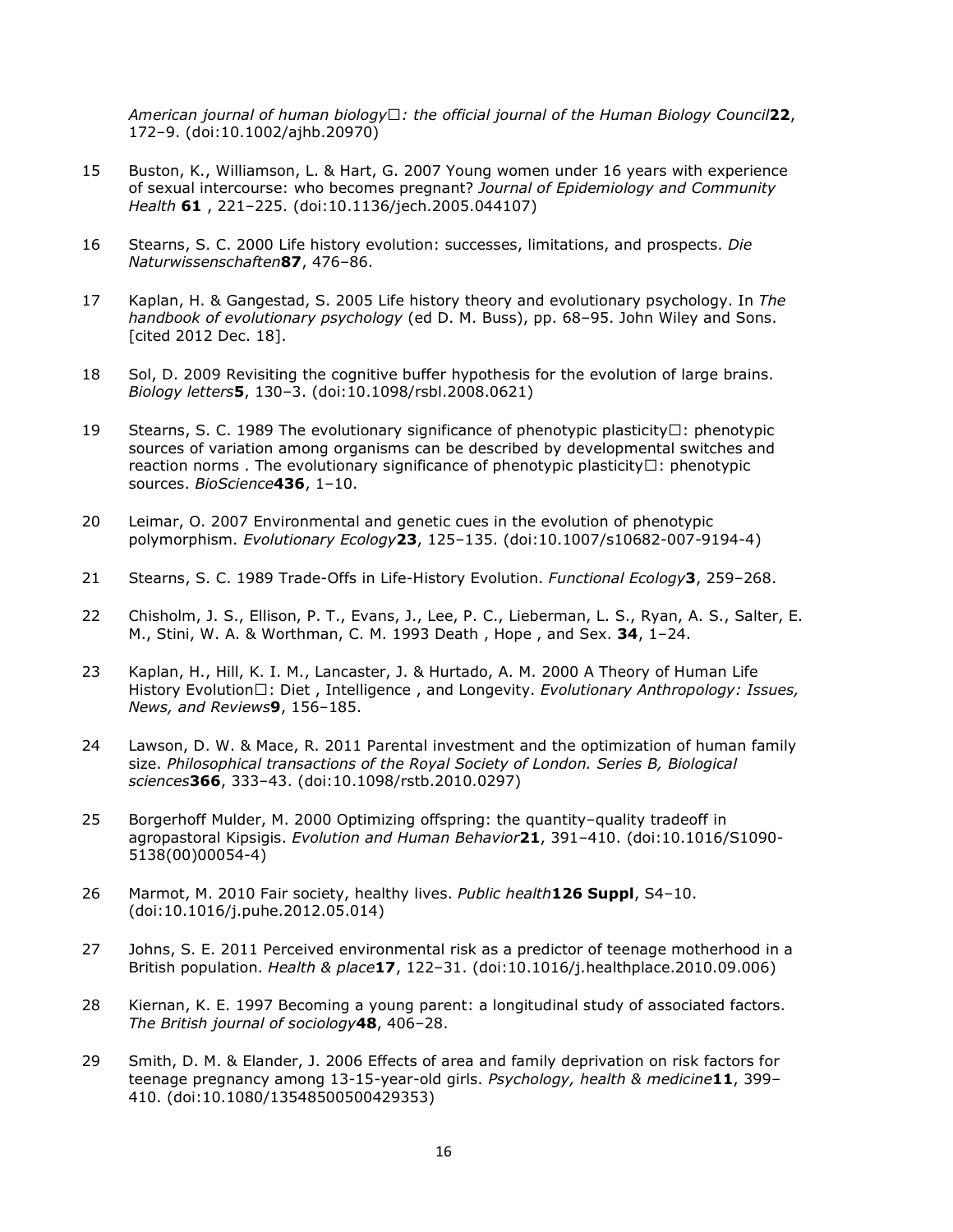American journal of human biology : the official journal of the Human Biology Council 22, 172–9. (doi:10.1002/ajhb.20970)

- 15 Buston, K., Williamson, L. & Hart, G. 2007 Young women under 16 years with experience of sexual intercourse: who becomes pregnant? Journal of Epidemiology and Community Health 61 , 221–225. (doi:10.1136/jech.2005.044107)
- 16 Stearns, S. C. 2000 Life history evolution: successes, limitations, and prospects. Die Naturwissenschaften87, 476–86.
- 17 Kaplan, H. & Gangestad, S. 2005 Life history theory and evolutionary psychology. In The handbook of evolutionary psychology (ed D. M. Buss), pp. 68–95. John Wiley and Sons. [cited 2012 Dec. 18].
- 18 Sol, D. 2009 Revisiting the cognitive buffer hypothesis for the evolution of large brains. Biology letters5, 130–3. (doi:10.1098/rsbl.2008.0621)
- 19 Stearns, S. C. 1989 The evolutionary significance of phenotypic plasticityU: phenotypic sources of variation among organisms can be described by developmental switches and reaction norms . The evolutionary significance of phenotypic plasticityU: phenotypic sources. BioScience436, 1-10.
- 20 Leimar, O. 2007 Environmental and genetic cues in the evolution of phenotypic polymorphism. Evolutionary Ecology23, 125–135. (doi:10.1007/s10682-007-9194-4)
- 21 Stearns, S. C. 1989 Trade-Offs in Life-History Evolution. Functional Ecology 3, 259-268.
- 22 Chisholm, J. S., Ellison, P. T., Evans, J., Lee, P. C., Lieberman, L. S., Ryan, A. S., Salter, E. M., Stini, W. A. & Worthman, C. M. 1993 Death , Hope , and Sex. 34, 1–24.
- 23 Kaplan, H., Hill, K. I. M., Lancaster, J. & Hurtado, A. M. 2000 A Theory of Human Life History EvolutionU: Diet, Intelligence, and Longevity. Evolutionary Anthropology: Issues, News, and Reviews9, 156–185.
- 24 Lawson, D. W. & Mace, R. 2011 Parental investment and the optimization of human family size. Philosophical transactions of the Royal Society of London. Series B, Biological sciences366, 333–43. (doi:10.1098/rstb.2010.0297)
- 25 Borgerhoff Mulder, M. 2000 Optimizing offspring: the quantity–quality tradeoff in agropastoral Kipsigis. Evolution and Human Behavior 21, 391-410. (doi:10.1016/S1090-5138(00)00054-4)
- 26 Marmot, M. 2010 Fair society, healthy lives. Public health 126 Suppl, S4-10. (doi:10.1016/j.puhe.2012.05.014)
- 27 Johns, S. E. 2011 Perceived environmental risk as a predictor of teenage motherhood in a British population. Health & place17, 122–31. (doi:10.1016/j.healthplace.2010.09.006)
- 28 Kiernan, K. E. 1997 Becoming a young parent: a longitudinal study of associated factors. The British journal of sociology<sup>48</sup>, 406-28.
- 29 Smith, D. M. & Elander, J. 2006 Effects of area and family deprivation on risk factors for teenage pregnancy among 13-15-year-old girls. Psychology, health & medicine11, 399-410. (doi:10.1080/13548500500429353)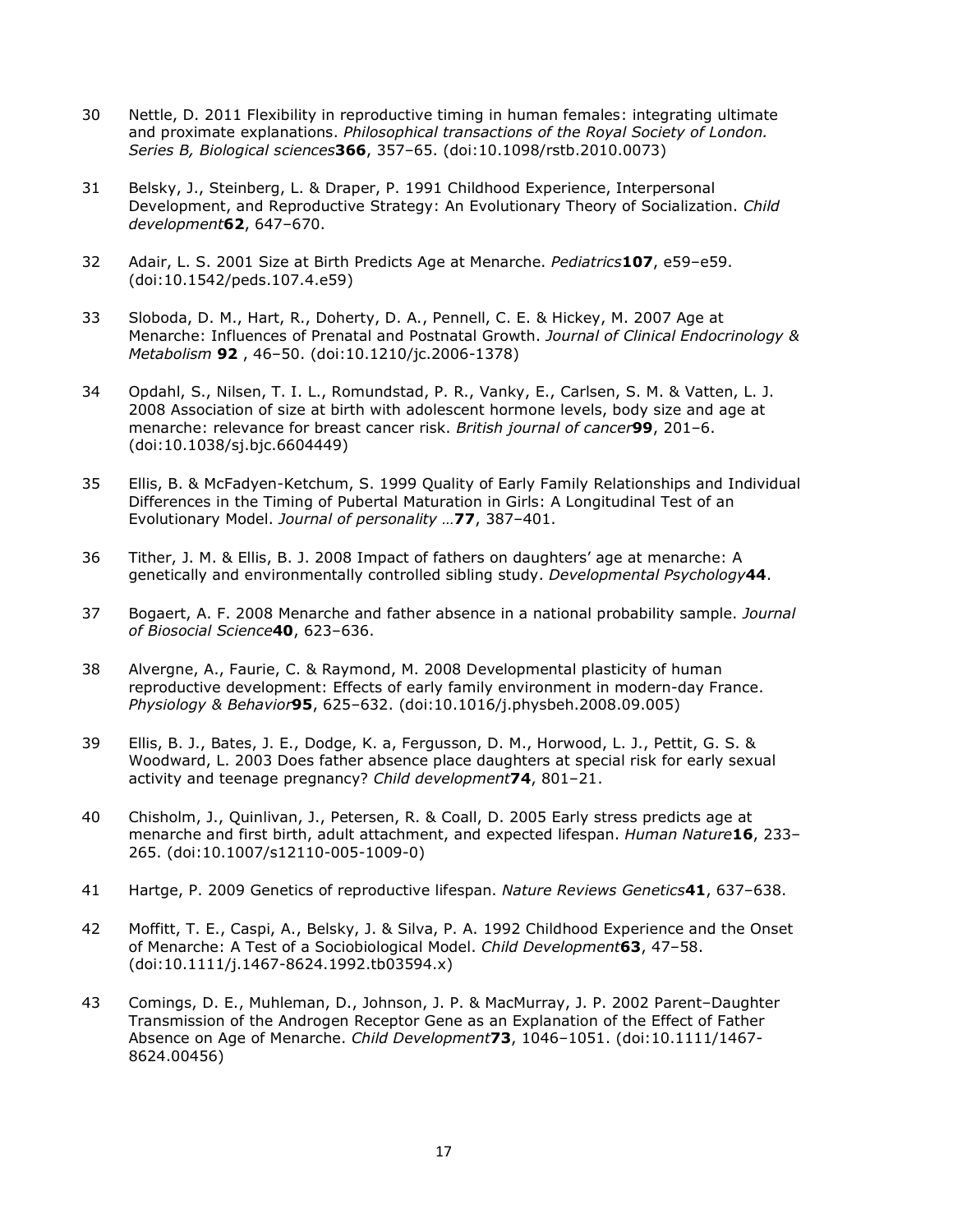- 30 Nettle, D. 2011 Flexibility in reproductive timing in human females: integrating ultimate and proximate explanations. Philosophical transactions of the Royal Society of London. Series B, Biological sciences366, 357–65. (doi:10.1098/rstb.2010.0073)
- 31 Belsky, J., Steinberg, L. & Draper, P. 1991 Childhood Experience, Interpersonal Development, and Reproductive Strategy: An Evolutionary Theory of Socialization. Child development62, 647–670.
- 32 Adair, L. S. 2001 Size at Birth Predicts Age at Menarche. Pediatrics107, e59-e59. (doi:10.1542/peds.107.4.e59)
- 33 Sloboda, D. M., Hart, R., Doherty, D. A., Pennell, C. E. & Hickey, M. 2007 Age at Menarche: Influences of Prenatal and Postnatal Growth. Journal of Clinical Endocrinology & Metabolism 92 , 46–50. (doi:10.1210/jc.2006-1378)
- 34 Opdahl, S., Nilsen, T. I. L., Romundstad, P. R., Vanky, E., Carlsen, S. M. & Vatten, L. J. 2008 Association of size at birth with adolescent hormone levels, body size and age at menarche: relevance for breast cancer risk. British journal of cancer<sup>99</sup>, 201-6. (doi:10.1038/sj.bjc.6604449)
- 35 Ellis, B. & McFadyen-Ketchum, S. 1999 Quality of Early Family Relationships and Individual Differences in the Timing of Pubertal Maturation in Girls: A Longitudinal Test of an Evolutionary Model. Journal of personality …77, 387–401.
- 36 Tither, J. M. & Ellis, B. J. 2008 Impact of fathers on daughters' age at menarche: A genetically and environmentally controlled sibling study. Developmental Psychology 44.
- 37 Bogaert, A. F. 2008 Menarche and father absence in a national probability sample. Journal of Biosocial Science40, 623–636.
- 38 Alvergne, A., Faurie, C. & Raymond, M. 2008 Developmental plasticity of human reproductive development: Effects of early family environment in modern-day France. Physiology & Behavior95, 625–632. (doi:10.1016/j.physbeh.2008.09.005)
- 39 Ellis, B. J., Bates, J. E., Dodge, K. a, Fergusson, D. M., Horwood, L. J., Pettit, G. S. & Woodward, L. 2003 Does father absence place daughters at special risk for early sexual activity and teenage pregnancy? Child development74, 801-21.
- 40 Chisholm, J., Quinlivan, J., Petersen, R. & Coall, D. 2005 Early stress predicts age at menarche and first birth, adult attachment, and expected lifespan. Human Nature16, 233-265. (doi:10.1007/s12110-005-1009-0)
- 41 Hartge, P. 2009 Genetics of reproductive lifespan. Nature Reviews Genetics41, 637-638.
- 42 Moffitt, T. E., Caspi, A., Belsky, J. & Silva, P. A. 1992 Childhood Experience and the Onset of Menarche: A Test of a Sociobiological Model. Child Development63, 47–58. (doi:10.1111/j.1467-8624.1992.tb03594.x)
- 43 Comings, D. E., Muhleman, D., Johnson, J. P. & MacMurray, J. P. 2002 Parent–Daughter Transmission of the Androgen Receptor Gene as an Explanation of the Effect of Father Absence on Age of Menarche. Child Development73, 1046-1051. (doi:10.1111/1467-8624.00456)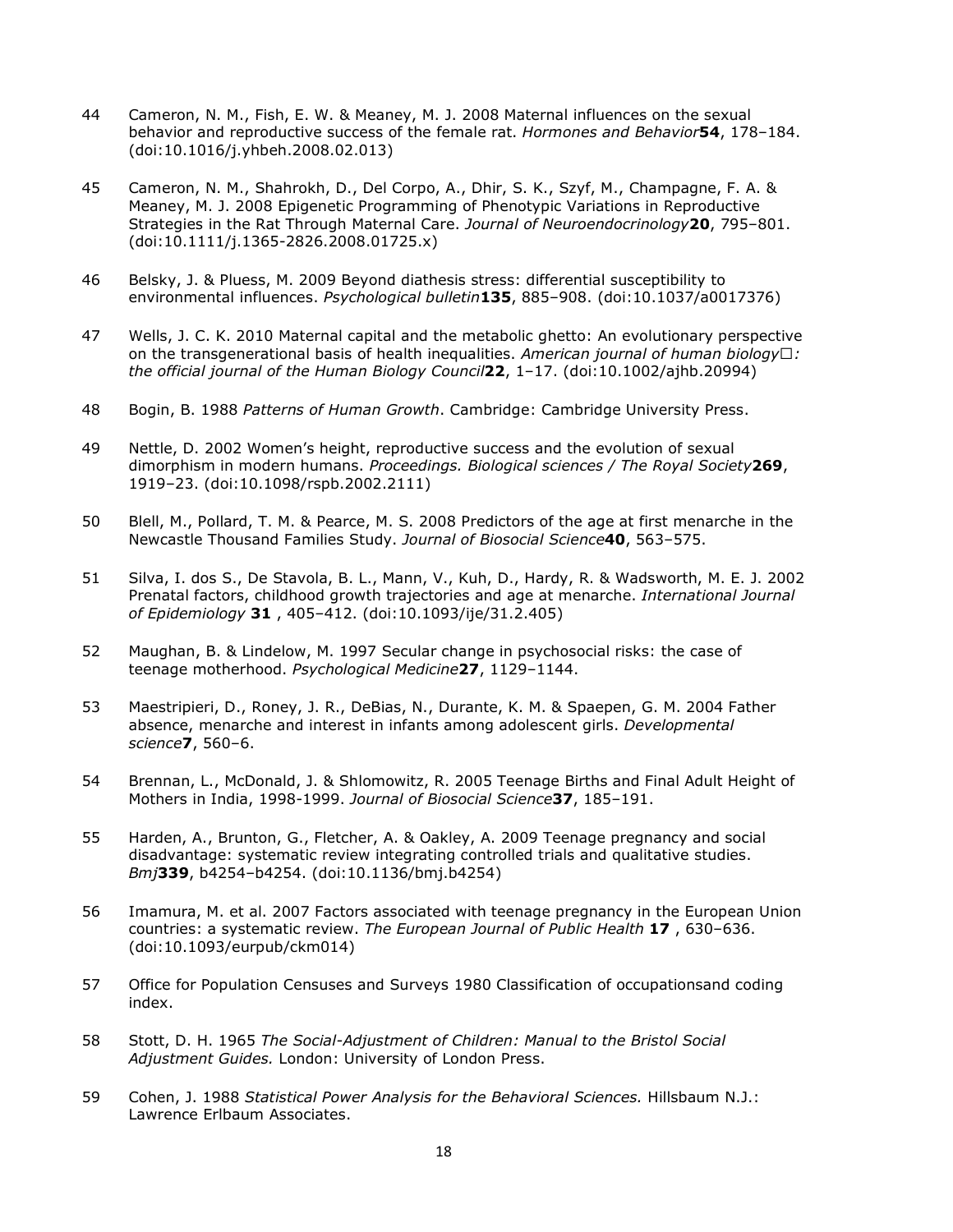- 44 Cameron, N. M., Fish, E. W. & Meaney, M. J. 2008 Maternal influences on the sexual behavior and reproductive success of the female rat. Hormones and Behavior 54, 178-184. (doi:10.1016/j.yhbeh.2008.02.013)
- 45 Cameron, N. M., Shahrokh, D., Del Corpo, A., Dhir, S. K., Szyf, M., Champagne, F. A. & Meaney, M. J. 2008 Epigenetic Programming of Phenotypic Variations in Reproductive Strategies in the Rat Through Maternal Care. Journal of Neuroendocrinology20, 795-801. (doi:10.1111/j.1365-2826.2008.01725.x)
- 46 Belsky, J. & Pluess, M. 2009 Beyond diathesis stress: differential susceptibility to environmental influences. Psychological bulletin135, 885–908. (doi:10.1037/a0017376)
- 47 Wells, J. C. K. 2010 Maternal capital and the metabolic ghetto: An evolutionary perspective on the transgenerational basis of health inequalities. American journal of human biology  $\cdot$ : the official journal of the Human Biology Council22, 1–17. (doi:10.1002/ajhb.20994)
- 48 Bogin, B. 1988 Patterns of Human Growth. Cambridge: Cambridge University Press.
- 49 Nettle, D. 2002 Women's height, reproductive success and the evolution of sexual dimorphism in modern humans. Proceedings. Biological sciences / The Royal Society 269, 1919–23. (doi:10.1098/rspb.2002.2111)
- 50 Blell, M., Pollard, T. M. & Pearce, M. S. 2008 Predictors of the age at first menarche in the Newcastle Thousand Families Study. Journal of Biosocial Science40, 563–575.
- 51 Silva, I. dos S., De Stavola, B. L., Mann, V., Kuh, D., Hardy, R. & Wadsworth, M. E. J. 2002 Prenatal factors, childhood growth trajectories and age at menarche. International Journal of Epidemiology 31 , 405–412. (doi:10.1093/ije/31.2.405)
- 52 Maughan, B. & Lindelow, M. 1997 Secular change in psychosocial risks: the case of teenage motherhood. Psychological Medicine27, 1129–1144.
- 53 Maestripieri, D., Roney, J. R., DeBias, N., Durante, K. M. & Spaepen, G. M. 2004 Father absence, menarche and interest in infants among adolescent girls. Developmental science7, 560–6.
- 54 Brennan, L., McDonald, J. & Shlomowitz, R. 2005 Teenage Births and Final Adult Height of Mothers in India, 1998-1999. Journal of Biosocial Science37, 185-191.
- 55 Harden, A., Brunton, G., Fletcher, A. & Oakley, A. 2009 Teenage pregnancy and social disadvantage: systematic review integrating controlled trials and qualitative studies. Bmj339, b4254–b4254. (doi:10.1136/bmj.b4254)
- 56 Imamura, M. et al. 2007 Factors associated with teenage pregnancy in the European Union countries: a systematic review. The European Journal of Public Health 17 , 630–636. (doi:10.1093/eurpub/ckm014)
- 57 Office for Population Censuses and Surveys 1980 Classification of occupationsand coding index.
- 58 Stott, D. H. 1965 The Social-Adjustment of Children: Manual to the Bristol Social Adjustment Guides. London: University of London Press.
- 59 Cohen, J. 1988 Statistical Power Analysis for the Behavioral Sciences. Hillsbaum N.J.: Lawrence Erlbaum Associates.